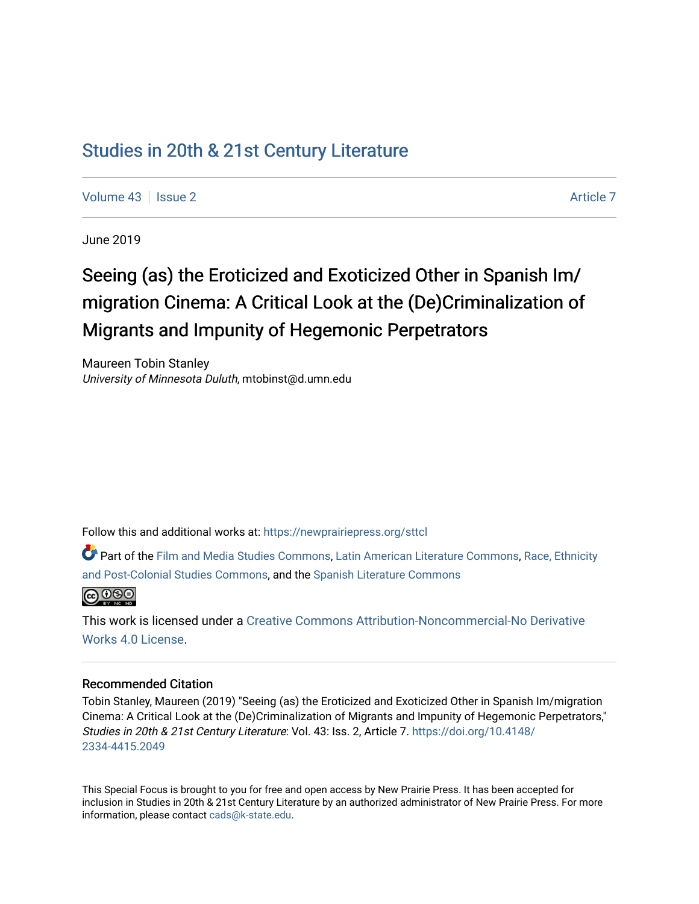# [Studies in 20th & 21st Century Literature](https://newprairiepress.org/sttcl)

[Volume 43](https://newprairiepress.org/sttcl/vol43) | [Issue 2](https://newprairiepress.org/sttcl/vol43/iss2) [Article 7](https://newprairiepress.org/sttcl/vol43/iss2/7) Article 7

June 2019

# Seeing (as) the Eroticized and Exoticized Other in Spanish Im/ migration Cinema: A Critical Look at the (De)Criminalization of Migrants and Impunity of Hegemonic Perpetrators

Maureen Tobin Stanley University of Minnesota Duluth, mtobinst@d.umn.edu

Follow this and additional works at: [https://newprairiepress.org/sttcl](https://newprairiepress.org/sttcl?utm_source=newprairiepress.org%2Fsttcl%2Fvol43%2Fiss2%2F7&utm_medium=PDF&utm_campaign=PDFCoverPages) 

Part of the [Film and Media Studies Commons,](http://network.bepress.com/hgg/discipline/563?utm_source=newprairiepress.org%2Fsttcl%2Fvol43%2Fiss2%2F7&utm_medium=PDF&utm_campaign=PDFCoverPages) [Latin American Literature Commons,](http://network.bepress.com/hgg/discipline/547?utm_source=newprairiepress.org%2Fsttcl%2Fvol43%2Fiss2%2F7&utm_medium=PDF&utm_campaign=PDFCoverPages) [Race, Ethnicity](http://network.bepress.com/hgg/discipline/566?utm_source=newprairiepress.org%2Fsttcl%2Fvol43%2Fiss2%2F7&utm_medium=PDF&utm_campaign=PDFCoverPages)  [and Post-Colonial Studies Commons,](http://network.bepress.com/hgg/discipline/566?utm_source=newprairiepress.org%2Fsttcl%2Fvol43%2Fiss2%2F7&utm_medium=PDF&utm_campaign=PDFCoverPages) and the [Spanish Literature Commons](http://network.bepress.com/hgg/discipline/550?utm_source=newprairiepress.org%2Fsttcl%2Fvol43%2Fiss2%2F7&utm_medium=PDF&utm_campaign=PDFCoverPages) 



This work is licensed under a [Creative Commons Attribution-Noncommercial-No Derivative](https://creativecommons.org/licenses/by-nc-nd/4.0/)  [Works 4.0 License](https://creativecommons.org/licenses/by-nc-nd/4.0/).

#### Recommended Citation

Tobin Stanley, Maureen (2019) "Seeing (as) the Eroticized and Exoticized Other in Spanish Im/migration Cinema: A Critical Look at the (De)Criminalization of Migrants and Impunity of Hegemonic Perpetrators," Studies in 20th & 21st Century Literature: Vol. 43: Iss. 2, Article 7. [https://doi.org/10.4148/](https://doi.org/10.4148/2334-4415.2049) [2334-4415.2049](https://doi.org/10.4148/2334-4415.2049) 

This Special Focus is brought to you for free and open access by New Prairie Press. It has been accepted for inclusion in Studies in 20th & 21st Century Literature by an authorized administrator of New Prairie Press. For more information, please contact [cads@k-state.edu](mailto:cads@k-state.edu).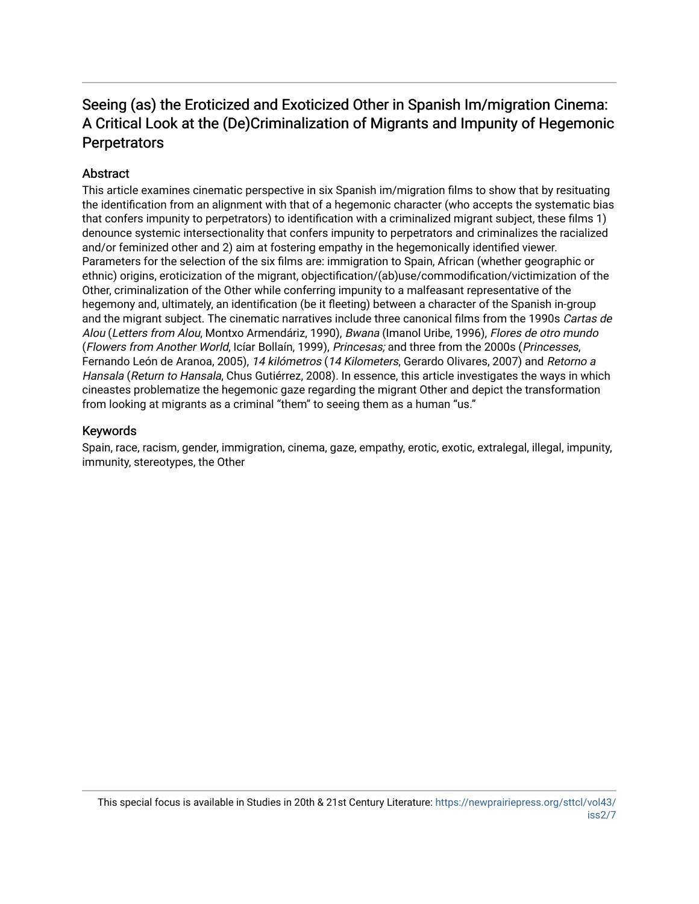# Seeing (as) the Eroticized and Exoticized Other in Spanish Im/migration Cinema: A Critical Look at the (De)Criminalization of Migrants and Impunity of Hegemonic **Perpetrators**

# **Abstract**

This article examines cinematic perspective in six Spanish im/migration films to show that by resituating the identification from an alignment with that of a hegemonic character (who accepts the systematic bias that confers impunity to perpetrators) to identification with a criminalized migrant subject, these films 1) denounce systemic intersectionality that confers impunity to perpetrators and criminalizes the racialized and/or feminized other and 2) aim at fostering empathy in the hegemonically identified viewer. Parameters for the selection of the six films are: immigration to Spain, African (whether geographic or ethnic) origins, eroticization of the migrant, objectification/(ab)use/commodification/victimization of the Other, criminalization of the Other while conferring impunity to a malfeasant representative of the hegemony and, ultimately, an identification (be it fleeting) between a character of the Spanish in-group and the migrant subject. The cinematic narratives include three canonical films from the 1990s Cartas de Alou (Letters from Alou, Montxo Armendáriz, 1990), Bwana (Imanol Uribe, 1996), Flores de otro mundo (Flowers from Another World, Icíar Bollaín, 1999), Princesas; and three from the 2000s (Princesses, Fernando León de Aranoa, 2005), 14 kilómetros (14 Kilometers, Gerardo Olivares, 2007) and Retorno a Hansala (Return to Hansala, Chus Gutiérrez, 2008). In essence, this article investigates the ways in which cineastes problematize the hegemonic gaze regarding the migrant Other and depict the transformation from looking at migrants as a criminal "them" to seeing them as a human "us."

# Keywords

Spain, race, racism, gender, immigration, cinema, gaze, empathy, erotic, exotic, extralegal, illegal, impunity, immunity, stereotypes, the Other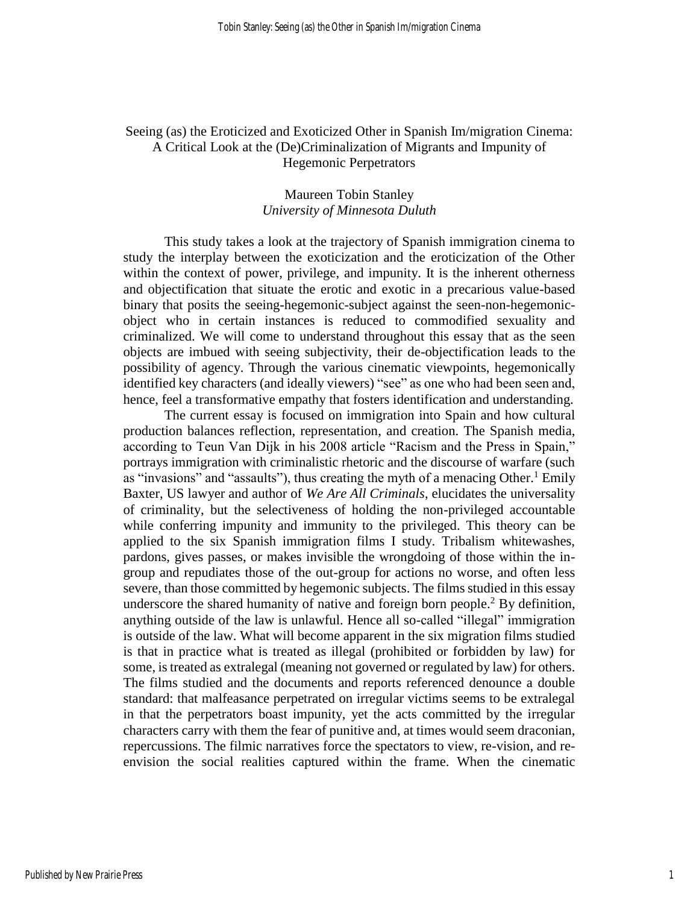# Seeing (as) the Eroticized and Exoticized Other in Spanish Im/migration Cinema: A Critical Look at the (De)Criminalization of Migrants and Impunity of Hegemonic Perpetrators

# Maureen Tobin Stanley *University of Minnesota Duluth*

This study takes a look at the trajectory of Spanish immigration cinema to study the interplay between the exoticization and the eroticization of the Other within the context of power, privilege, and impunity. It is the inherent otherness and objectification that situate the erotic and exotic in a precarious value-based binary that posits the seeing-hegemonic-subject against the seen-non-hegemonicobject who in certain instances is reduced to commodified sexuality and criminalized. We will come to understand throughout this essay that as the seen objects are imbued with seeing subjectivity, their de-objectification leads to the possibility of agency. Through the various cinematic viewpoints, hegemonically identified key characters (and ideally viewers) "see" as one who had been seen and, hence, feel a transformative empathy that fosters identification and understanding.

The current essay is focused on immigration into Spain and how cultural production balances reflection, representation, and creation. The Spanish media, according to Teun Van Dijk in his 2008 article "Racism and the Press in Spain," portrays immigration with criminalistic rhetoric and the discourse of warfare (such as "invasions" and "assaults"), thus creating the myth of a menacing Other.<sup>1</sup> Emily Baxter, US lawyer and author of *We Are All Criminals*, elucidates the universality of criminality, but the selectiveness of holding the non-privileged accountable while conferring impunity and immunity to the privileged. This theory can be applied to the six Spanish immigration films I study. Tribalism whitewashes, pardons, gives passes, or makes invisible the wrongdoing of those within the ingroup and repudiates those of the out-group for actions no worse, and often less severe, than those committed by hegemonic subjects. The films studied in this essay underscore the shared humanity of native and foreign born people. <sup>2</sup> By definition, anything outside of the law is unlawful. Hence all so-called "illegal" immigration is outside of the law. What will become apparent in the six migration films studied is that in practice what is treated as illegal (prohibited or forbidden by law) for some, is treated as extralegal (meaning not governed or regulated by law) for others. The films studied and the documents and reports referenced denounce a double standard: that malfeasance perpetrated on irregular victims seems to be extralegal in that the perpetrators boast impunity, yet the acts committed by the irregular characters carry with them the fear of punitive and, at times would seem draconian, repercussions. The filmic narratives force the spectators to view, re-vision, and reenvision the social realities captured within the frame. When the cinematic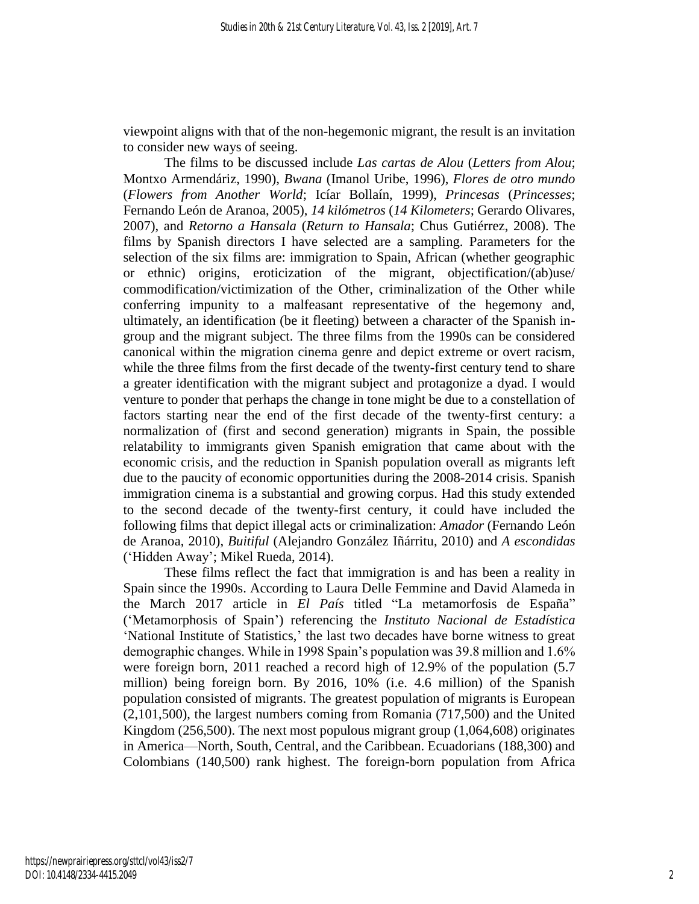viewpoint aligns with that of the non-hegemonic migrant, the result is an invitation to consider new ways of seeing.

The films to be discussed include *Las cartas de Alou* (*Letters from Alou*; Montxo Armendáriz, 1990), *Bwana* (Imanol Uribe, 1996), *Flores de otro mundo* (*Flowers from Another World*; Icíar Bollaín, 1999), *Princesas* (*Princesses*; Fernando León de Aranoa, 2005), *14 kilómetros* (*14 Kilometers*; Gerardo Olivares, 2007), and *Retorno a Hansala* (*Return to Hansala*; Chus Gutiérrez, 2008). The films by Spanish directors I have selected are a sampling. Parameters for the selection of the six films are: immigration to Spain, African (whether geographic or ethnic) origins, eroticization of the migrant, objectification/(ab)use/ commodification/victimization of the Other, criminalization of the Other while conferring impunity to a malfeasant representative of the hegemony and, ultimately, an identification (be it fleeting) between a character of the Spanish ingroup and the migrant subject. The three films from the 1990s can be considered canonical within the migration cinema genre and depict extreme or overt racism, while the three films from the first decade of the twenty-first century tend to share a greater identification with the migrant subject and protagonize a dyad. I would venture to ponder that perhaps the change in tone might be due to a constellation of factors starting near the end of the first decade of the twenty-first century: a normalization of (first and second generation) migrants in Spain, the possible relatability to immigrants given Spanish emigration that came about with the economic crisis, and the reduction in Spanish population overall as migrants left due to the paucity of economic opportunities during the 2008-2014 crisis. Spanish immigration cinema is a substantial and growing corpus. Had this study extended to the second decade of the twenty-first century, it could have included the following films that depict illegal acts or criminalization: *Amador* (Fernando León de Aranoa, 2010), *Buitiful* (Alejandro González Iñárritu, 2010) and *A escondidas* ('Hidden Away'; Mikel Rueda, 2014).

These films reflect the fact that immigration is and has been a reality in Spain since the 1990s. According to Laura Delle Femmine and David Alameda in the March 2017 article in *El País* titled "La metamorfosis de España" ('Metamorphosis of Spain') referencing the *Instituto Nacional de Estadística* 'National Institute of Statistics,' the last two decades have borne witness to great demographic changes. While in 1998 Spain's population was 39.8 million and 1.6% were foreign born, 2011 reached a record high of 12.9% of the population (5.7 million) being foreign born. By 2016, 10% (i.e. 4.6 million) of the Spanish population consisted of migrants. The greatest population of migrants is European (2,101,500), the largest numbers coming from Romania (717,500) and the United Kingdom (256,500). The next most populous migrant group (1,064,608) originates in America—North, South, Central, and the Caribbean. Ecuadorians (188,300) and Colombians (140,500) rank highest. The foreign-born population from Africa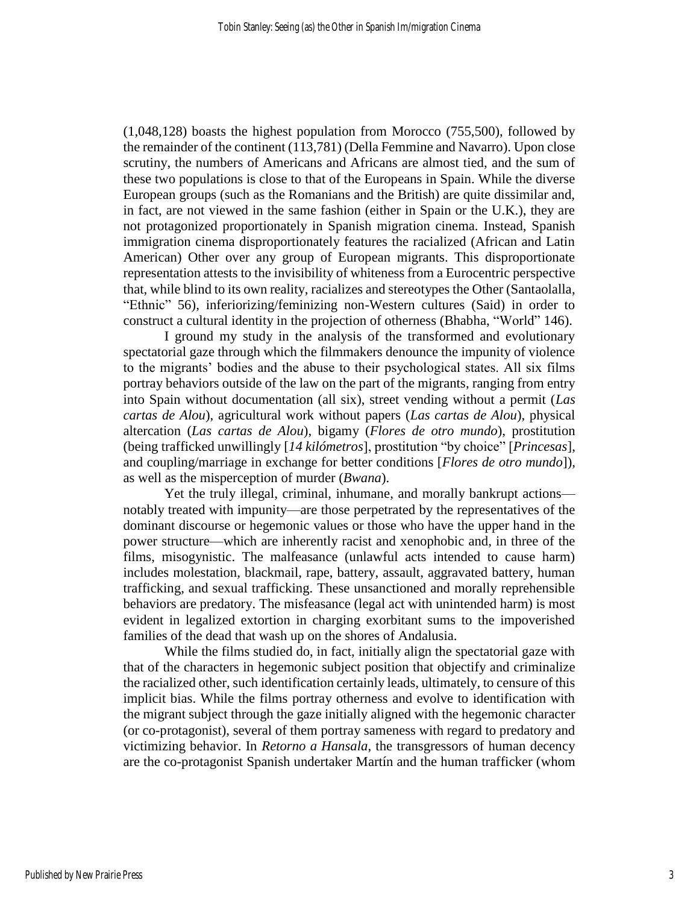(1,048,128) boasts the highest population from Morocco (755,500), followed by the remainder of the continent (113,781) (Della Femmine and Navarro). Upon close scrutiny, the numbers of Americans and Africans are almost tied, and the sum of these two populations is close to that of the Europeans in Spain. While the diverse European groups (such as the Romanians and the British) are quite dissimilar and, in fact, are not viewed in the same fashion (either in Spain or the U.K.), they are not protagonized proportionately in Spanish migration cinema. Instead, Spanish immigration cinema disproportionately features the racialized (African and Latin American) Other over any group of European migrants. This disproportionate representation attests to the invisibility of whiteness from a Eurocentric perspective that, while blind to its own reality, racializes and stereotypes the Other (Santaolalla, "Ethnic" 56), inferiorizing/feminizing non-Western cultures (Said) in order to construct a cultural identity in the projection of otherness (Bhabha, "World" 146).

I ground my study in the analysis of the transformed and evolutionary spectatorial gaze through which the filmmakers denounce the impunity of violence to the migrants' bodies and the abuse to their psychological states. All six films portray behaviors outside of the law on the part of the migrants, ranging from entry into Spain without documentation (all six), street vending without a permit (*Las cartas de Alou*), agricultural work without papers (*Las cartas de Alou*), physical altercation (*Las cartas de Alou*), bigamy (*Flores de otro mundo*), prostitution (being trafficked unwillingly [*14 kilómetros*], prostitution "by choice" [*Princesas*], and coupling/marriage in exchange for better conditions [*Flores de otro mundo*]), as well as the misperception of murder (*Bwana*).

Yet the truly illegal, criminal, inhumane, and morally bankrupt actions notably treated with impunity—are those perpetrated by the representatives of the dominant discourse or hegemonic values or those who have the upper hand in the power structure—which are inherently racist and xenophobic and, in three of the films, misogynistic. The malfeasance (unlawful acts intended to cause harm) includes molestation, blackmail, rape, battery, assault, aggravated battery, human trafficking, and sexual trafficking. These unsanctioned and morally reprehensible behaviors are predatory. The misfeasance (legal act with unintended harm) is most evident in legalized extortion in charging exorbitant sums to the impoverished families of the dead that wash up on the shores of Andalusia.

While the films studied do, in fact, initially align the spectatorial gaze with that of the characters in hegemonic subject position that objectify and criminalize the racialized other, such identification certainly leads, ultimately, to censure of this implicit bias. While the films portray otherness and evolve to identification with the migrant subject through the gaze initially aligned with the hegemonic character (or co-protagonist), several of them portray sameness with regard to predatory and victimizing behavior. In *Retorno a Hansala*, the transgressors of human decency are the co-protagonist Spanish undertaker Martín and the human trafficker (whom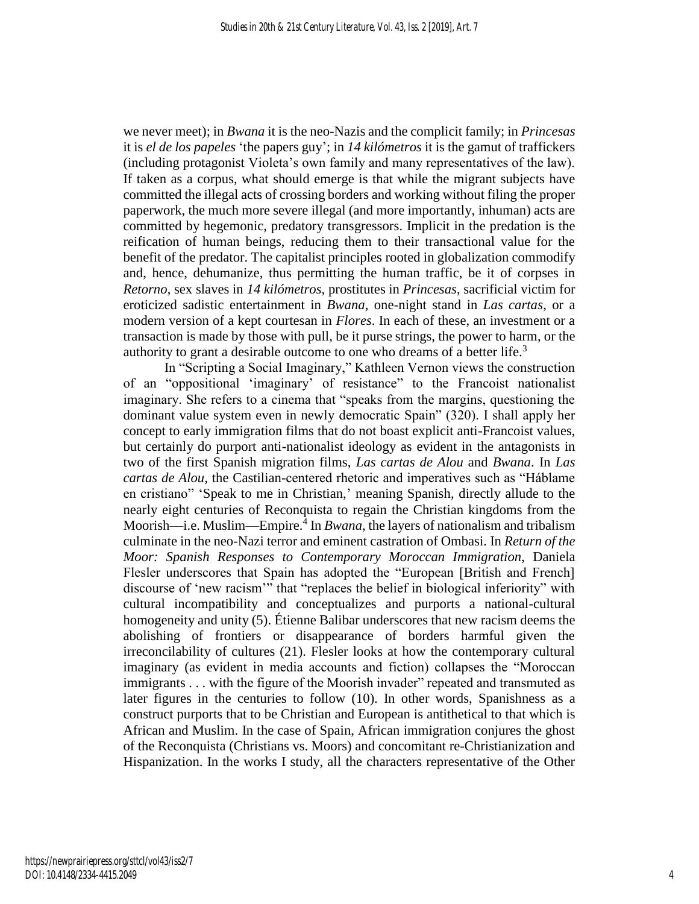we never meet); in *Bwana* it is the neo-Nazis and the complicit family; in *Princesas* it is *el de los papeles* 'the papers guy'; in *14 kilómetros* it is the gamut of traffickers (including protagonist Violeta's own family and many representatives of the law). If taken as a corpus, what should emerge is that while the migrant subjects have committed the illegal acts of crossing borders and working without filing the proper paperwork, the much more severe illegal (and more importantly, inhuman) acts are committed by hegemonic, predatory transgressors. Implicit in the predation is the reification of human beings, reducing them to their transactional value for the benefit of the predator. The capitalist principles rooted in globalization commodify and, hence, dehumanize, thus permitting the human traffic, be it of corpses in *Retorno*, sex slaves in *14 kilómetros*, prostitutes in *Princesas*, sacrificial victim for eroticized sadistic entertainment in *Bwana*, one-night stand in *Las cartas*, or a modern version of a kept courtesan in *Flores*. In each of these, an investment or a transaction is made by those with pull, be it purse strings, the power to harm, or the authority to grant a desirable outcome to one who dreams of a better life.<sup>3</sup>

In "Scripting a Social Imaginary," Kathleen Vernon views the construction of an "oppositional 'imaginary' of resistance" to the Francoist nationalist imaginary. She refers to a cinema that "speaks from the margins, questioning the dominant value system even in newly democratic Spain" (320). I shall apply her concept to early immigration films that do not boast explicit anti-Francoist values, but certainly do purport anti-nationalist ideology as evident in the antagonists in two of the first Spanish migration films, *Las cartas de Alou* and *Bwana*. In *Las cartas de Alou,* the Castilian-centered rhetoric and imperatives such as "Háblame en cristiano" 'Speak to me in Christian,' meaning Spanish, directly allude to the nearly eight centuries of Reconquista to regain the Christian kingdoms from the Moorish—i.e. Muslim—Empire. 4 In *Bwana*, the layers of nationalism and tribalism culminate in the neo-Nazi terror and eminent castration of Ombasi. In *Return of the Moor: Spanish Responses to Contemporary Moroccan Immigration*, Daniela Flesler underscores that Spain has adopted the "European [British and French] discourse of 'new racism'" that "replaces the belief in biological inferiority" with cultural incompatibility and conceptualizes and purports a national-cultural homogeneity and unity (5). Étienne Balibar underscores that new racism deems the abolishing of frontiers or disappearance of borders harmful given the irreconcilability of cultures (21). Flesler looks at how the contemporary cultural imaginary (as evident in media accounts and fiction) collapses the "Moroccan immigrants . . . with the figure of the Moorish invader" repeated and transmuted as later figures in the centuries to follow (10). In other words, Spanishness as a construct purports that to be Christian and European is antithetical to that which is African and Muslim. In the case of Spain, African immigration conjures the ghost of the Reconquista (Christians vs. Moors) and concomitant re-Christianization and Hispanization. In the works I study, all the characters representative of the Other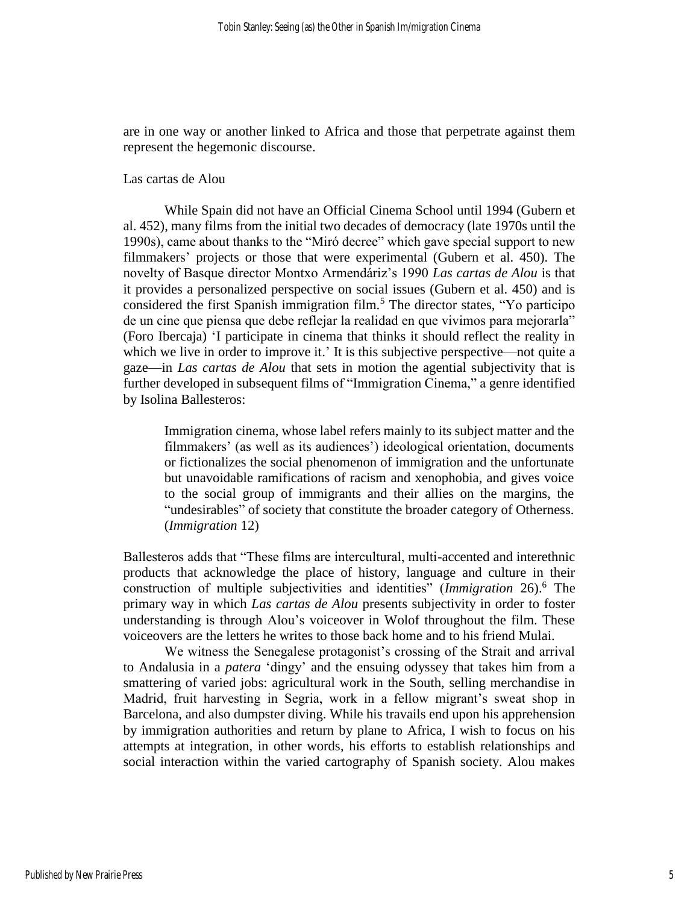are in one way or another linked to Africa and those that perpetrate against them represent the hegemonic discourse.

#### Las cartas de Alou

While Spain did not have an Official Cinema School until 1994 (Gubern et al. 452), many films from the initial two decades of democracy (late 1970s until the 1990s), came about thanks to the "Miró decree" which gave special support to new filmmakers' projects or those that were experimental (Gubern et al. 450). The novelty of Basque director Montxo Armendáriz's 1990 *Las cartas de Alou* is that it provides a personalized perspective on social issues (Gubern et al. 450) and is considered the first Spanish immigration film.<sup>5</sup> The director states, "Yo participo de un cine que piensa que debe reflejar la realidad en que vivimos para mejorarla" (Foro Ibercaja) 'I participate in cinema that thinks it should reflect the reality in which we live in order to improve it.' It is this subjective perspective—not quite a gaze—in *Las cartas de Alou* that sets in motion the agential subjectivity that is further developed in subsequent films of "Immigration Cinema," a genre identified by Isolina Ballesteros:

Immigration cinema, whose label refers mainly to its subject matter and the filmmakers' (as well as its audiences') ideological orientation, documents or fictionalizes the social phenomenon of immigration and the unfortunate but unavoidable ramifications of racism and xenophobia, and gives voice to the social group of immigrants and their allies on the margins, the "undesirables" of society that constitute the broader category of Otherness. (*Immigration* 12)

Ballesteros adds that "These films are intercultural, multi-accented and interethnic products that acknowledge the place of history, language and culture in their construction of multiple subjectivities and identities" (*Immigration* 26).<sup>6</sup> The primary way in which *Las cartas de Alou* presents subjectivity in order to foster understanding is through Alou's voiceover in Wolof throughout the film. These voiceovers are the letters he writes to those back home and to his friend Mulai.

We witness the Senegalese protagonist's crossing of the Strait and arrival to Andalusia in a *patera* 'dingy' and the ensuing odyssey that takes him from a smattering of varied jobs: agricultural work in the South, selling merchandise in Madrid, fruit harvesting in Segria, work in a fellow migrant's sweat shop in Barcelona, and also dumpster diving. While his travails end upon his apprehension by immigration authorities and return by plane to Africa, I wish to focus on his attempts at integration, in other words, his efforts to establish relationships and social interaction within the varied cartography of Spanish society. Alou makes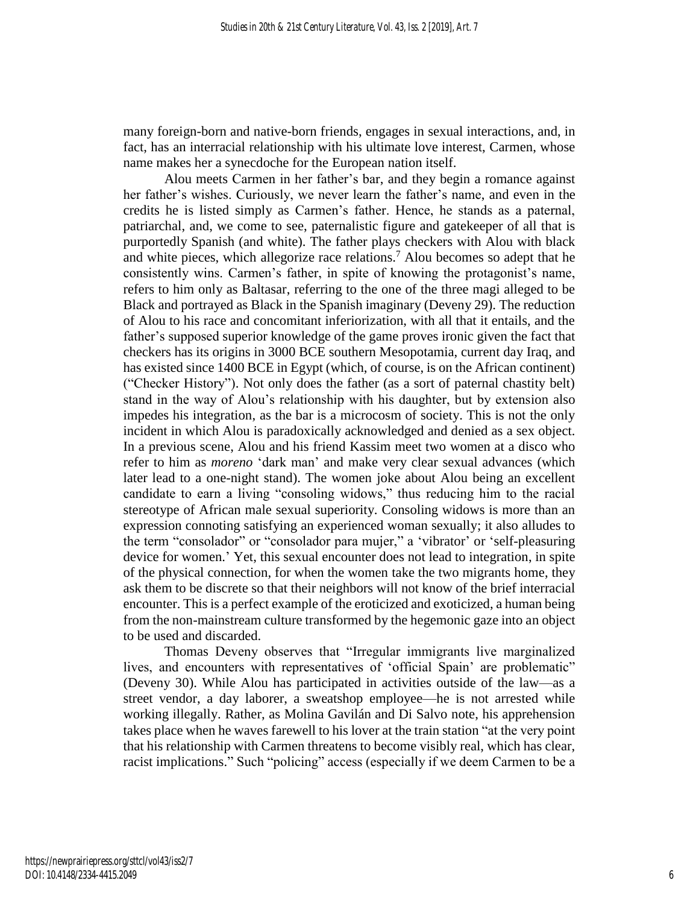many foreign-born and native-born friends, engages in sexual interactions, and, in fact, has an interracial relationship with his ultimate love interest, Carmen, whose name makes her a synecdoche for the European nation itself.

Alou meets Carmen in her father's bar, and they begin a romance against her father's wishes. Curiously, we never learn the father's name, and even in the credits he is listed simply as Carmen's father. Hence, he stands as a paternal, patriarchal, and, we come to see, paternalistic figure and gatekeeper of all that is purportedly Spanish (and white). The father plays checkers with Alou with black and white pieces, which allegorize race relations.<sup>7</sup> Alou becomes so adept that he consistently wins. Carmen's father, in spite of knowing the protagonist's name, refers to him only as Baltasar, referring to the one of the three magi alleged to be Black and portrayed as Black in the Spanish imaginary (Deveny 29). The reduction of Alou to his race and concomitant inferiorization, with all that it entails, and the father's supposed superior knowledge of the game proves ironic given the fact that checkers has its origins in 3000 BCE southern Mesopotamia, current day Iraq, and has existed since 1400 BCE in Egypt (which, of course, is on the African continent) ("Checker History"). Not only does the father (as a sort of paternal chastity belt) stand in the way of Alou's relationship with his daughter, but by extension also impedes his integration, as the bar is a microcosm of society. This is not the only incident in which Alou is paradoxically acknowledged and denied as a sex object. In a previous scene, Alou and his friend Kassim meet two women at a disco who refer to him as *moreno* 'dark man' and make very clear sexual advances (which later lead to a one-night stand). The women joke about Alou being an excellent candidate to earn a living "consoling widows," thus reducing him to the racial stereotype of African male sexual superiority. Consoling widows is more than an expression connoting satisfying an experienced woman sexually; it also alludes to the term "consolador" or "consolador para mujer," a 'vibrator' or 'self-pleasuring device for women.' Yet, this sexual encounter does not lead to integration, in spite of the physical connection, for when the women take the two migrants home, they ask them to be discrete so that their neighbors will not know of the brief interracial encounter. This is a perfect example of the eroticized and exoticized, a human being from the non-mainstream culture transformed by the hegemonic gaze into an object to be used and discarded.

Thomas Deveny observes that "Irregular immigrants live marginalized lives, and encounters with representatives of 'official Spain' are problematic" (Deveny 30). While Alou has participated in activities outside of the law—as a street vendor, a day laborer, a sweatshop employee—he is not arrested while working illegally. Rather, as Molina Gavilán and Di Salvo note, his apprehension takes place when he waves farewell to his lover at the train station "at the very point that his relationship with Carmen threatens to become visibly real, which has clear, racist implications." Such "policing" access (especially if we deem Carmen to be a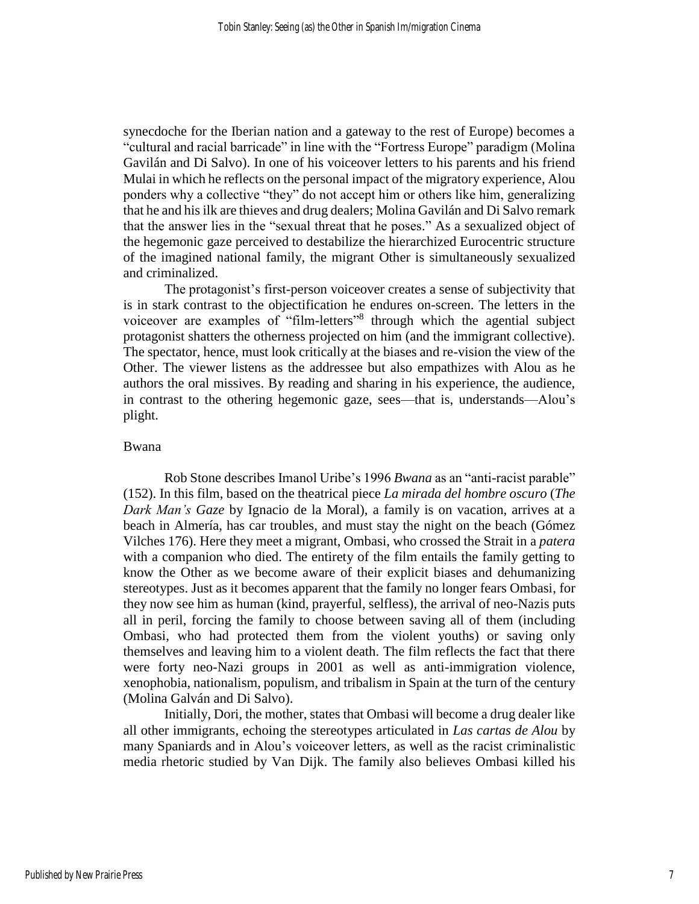synecdoche for the Iberian nation and a gateway to the rest of Europe) becomes a "cultural and racial barricade" in line with the "Fortress Europe" paradigm (Molina Gavilán and Di Salvo). In one of his voiceover letters to his parents and his friend Mulai in which he reflects on the personal impact of the migratory experience, Alou ponders why a collective "they" do not accept him or others like him, generalizing that he and his ilk are thieves and drug dealers; Molina Gavilán and Di Salvo remark that the answer lies in the "sexual threat that he poses." As a sexualized object of the hegemonic gaze perceived to destabilize the hierarchized Eurocentric structure of the imagined national family, the migrant Other is simultaneously sexualized and criminalized.

The protagonist's first-person voiceover creates a sense of subjectivity that is in stark contrast to the objectification he endures on-screen. The letters in the voiceover are examples of "film-letters"<sup>8</sup> through which the agential subject protagonist shatters the otherness projected on him (and the immigrant collective). The spectator, hence, must look critically at the biases and re-vision the view of the Other. The viewer listens as the addressee but also empathizes with Alou as he authors the oral missives. By reading and sharing in his experience, the audience, in contrast to the othering hegemonic gaze, sees—that is, understands—Alou's plight.

#### Bwana

Rob Stone describes Imanol Uribe's 1996 *Bwana* as an "anti-racist parable" (152). In this film, based on the theatrical piece *La mirada del hombre oscuro* (*The Dark Man's Gaze* by Ignacio de la Moral), a family is on vacation, arrives at a beach in Almería, has car troubles, and must stay the night on the beach (Gómez Vilches 176). Here they meet a migrant, Ombasi, who crossed the Strait in a *patera* with a companion who died. The entirety of the film entails the family getting to know the Other as we become aware of their explicit biases and dehumanizing stereotypes. Just as it becomes apparent that the family no longer fears Ombasi, for they now see him as human (kind, prayerful, selfless), the arrival of neo-Nazis puts all in peril, forcing the family to choose between saving all of them (including Ombasi, who had protected them from the violent youths) or saving only themselves and leaving him to a violent death. The film reflects the fact that there were forty neo-Nazi groups in 2001 as well as anti-immigration violence, xenophobia, nationalism, populism, and tribalism in Spain at the turn of the century (Molina Galván and Di Salvo).

Initially, Dori, the mother, states that Ombasi will become a drug dealer like all other immigrants, echoing the stereotypes articulated in *Las cartas de Alou* by many Spaniards and in Alou's voiceover letters, as well as the racist criminalistic media rhetoric studied by Van Dijk. The family also believes Ombasi killed his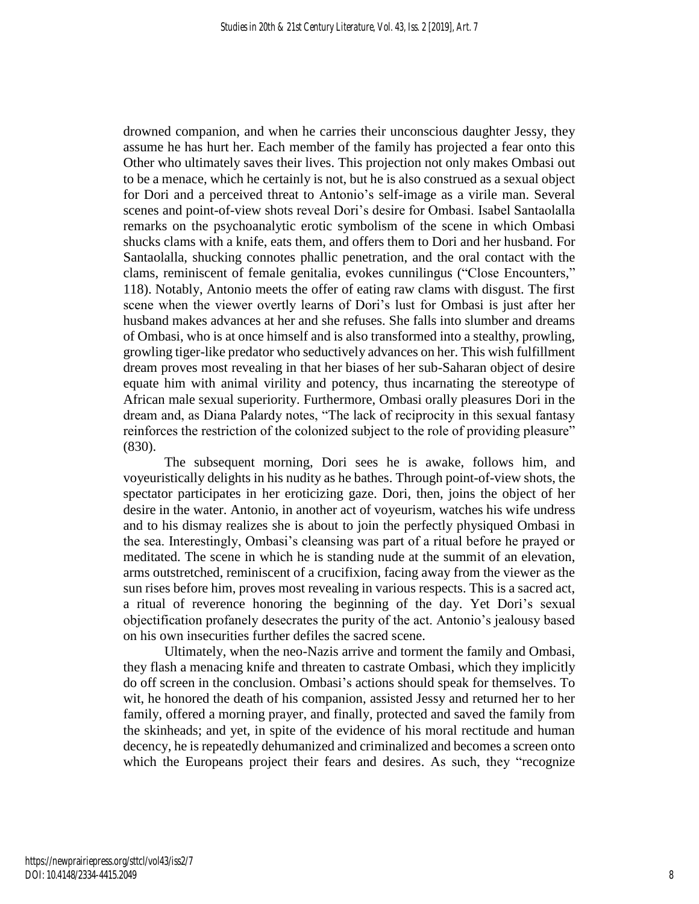drowned companion, and when he carries their unconscious daughter Jessy, they assume he has hurt her. Each member of the family has projected a fear onto this Other who ultimately saves their lives. This projection not only makes Ombasi out to be a menace, which he certainly is not, but he is also construed as a sexual object for Dori and a perceived threat to Antonio's self-image as a virile man. Several scenes and point-of-view shots reveal Dori's desire for Ombasi. Isabel Santaolalla remarks on the psychoanalytic erotic symbolism of the scene in which Ombasi shucks clams with a knife, eats them, and offers them to Dori and her husband. For Santaolalla, shucking connotes phallic penetration, and the oral contact with the clams, reminiscent of female genitalia, evokes cunnilingus ("Close Encounters," 118). Notably, Antonio meets the offer of eating raw clams with disgust. The first scene when the viewer overtly learns of Dori's lust for Ombasi is just after her husband makes advances at her and she refuses. She falls into slumber and dreams of Ombasi, who is at once himself and is also transformed into a stealthy, prowling, growling tiger-like predator who seductively advances on her. This wish fulfillment dream proves most revealing in that her biases of her sub-Saharan object of desire equate him with animal virility and potency, thus incarnating the stereotype of African male sexual superiority. Furthermore, Ombasi orally pleasures Dori in the dream and, as Diana Palardy notes, "The lack of reciprocity in this sexual fantasy reinforces the restriction of the colonized subject to the role of providing pleasure" (830).

The subsequent morning, Dori sees he is awake, follows him, and voyeuristically delights in his nudity as he bathes. Through point-of-view shots, the spectator participates in her eroticizing gaze. Dori, then, joins the object of her desire in the water. Antonio, in another act of voyeurism, watches his wife undress and to his dismay realizes she is about to join the perfectly physiqued Ombasi in the sea. Interestingly, Ombasi's cleansing was part of a ritual before he prayed or meditated. The scene in which he is standing nude at the summit of an elevation, arms outstretched, reminiscent of a crucifixion, facing away from the viewer as the sun rises before him, proves most revealing in various respects. This is a sacred act, a ritual of reverence honoring the beginning of the day. Yet Dori's sexual objectification profanely desecrates the purity of the act. Antonio's jealousy based on his own insecurities further defiles the sacred scene.

Ultimately, when the neo-Nazis arrive and torment the family and Ombasi, they flash a menacing knife and threaten to castrate Ombasi, which they implicitly do off screen in the conclusion. Ombasi's actions should speak for themselves. To wit, he honored the death of his companion, assisted Jessy and returned her to her family, offered a morning prayer, and finally, protected and saved the family from the skinheads; and yet, in spite of the evidence of his moral rectitude and human decency, he is repeatedly dehumanized and criminalized and becomes a screen onto which the Europeans project their fears and desires. As such, they "recognize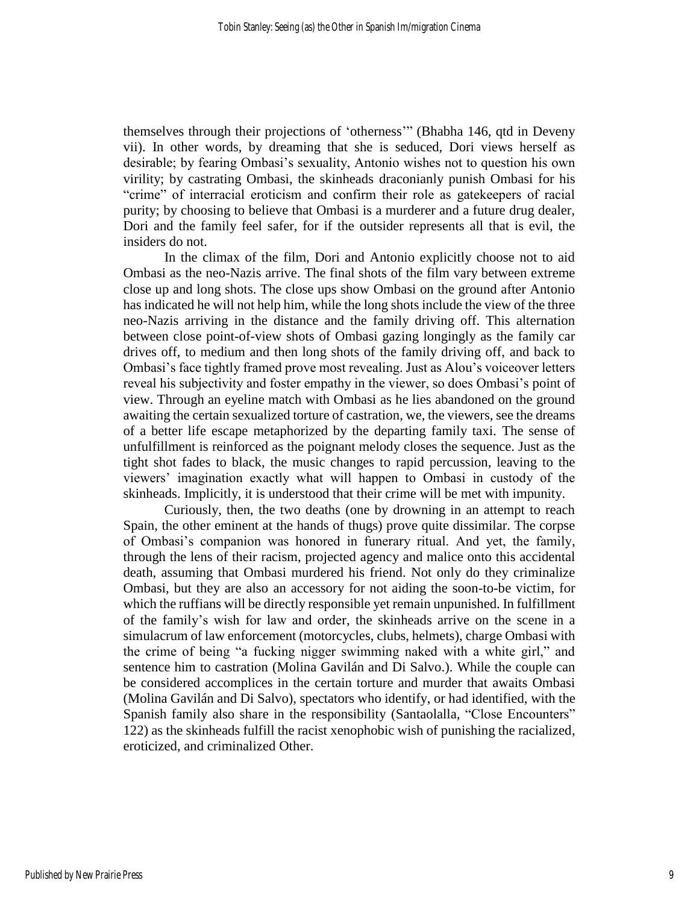themselves through their projections of 'otherness'" (Bhabha 146, qtd in Deveny vii). In other words, by dreaming that she is seduced, Dori views herself as desirable; by fearing Ombasi's sexuality, Antonio wishes not to question his own virility; by castrating Ombasi, the skinheads draconianly punish Ombasi for his "crime" of interracial eroticism and confirm their role as gatekeepers of racial purity; by choosing to believe that Ombasi is a murderer and a future drug dealer, Dori and the family feel safer, for if the outsider represents all that is evil, the insiders do not.

In the climax of the film, Dori and Antonio explicitly choose not to aid Ombasi as the neo-Nazis arrive. The final shots of the film vary between extreme close up and long shots. The close ups show Ombasi on the ground after Antonio has indicated he will not help him, while the long shots include the view of the three neo-Nazis arriving in the distance and the family driving off. This alternation between close point-of-view shots of Ombasi gazing longingly as the family car drives off, to medium and then long shots of the family driving off, and back to Ombasi's face tightly framed prove most revealing. Just as Alou's voiceover letters reveal his subjectivity and foster empathy in the viewer, so does Ombasi's point of view. Through an eyeline match with Ombasi as he lies abandoned on the ground awaiting the certain sexualized torture of castration, we, the viewers, see the dreams of a better life escape metaphorized by the departing family taxi. The sense of unfulfillment is reinforced as the poignant melody closes the sequence. Just as the tight shot fades to black, the music changes to rapid percussion, leaving to the viewers' imagination exactly what will happen to Ombasi in custody of the skinheads. Implicitly, it is understood that their crime will be met with impunity.

Curiously, then, the two deaths (one by drowning in an attempt to reach Spain, the other eminent at the hands of thugs) prove quite dissimilar. The corpse of Ombasi's companion was honored in funerary ritual. And yet, the family, through the lens of their racism, projected agency and malice onto this accidental death, assuming that Ombasi murdered his friend. Not only do they criminalize Ombasi, but they are also an accessory for not aiding the soon-to-be victim, for which the ruffians will be directly responsible yet remain unpunished. In fulfillment of the family's wish for law and order, the skinheads arrive on the scene in a simulacrum of law enforcement (motorcycles, clubs, helmets), charge Ombasi with the crime of being "a fucking nigger swimming naked with a white girl," and sentence him to castration (Molina Gavilán and Di Salvo.). While the couple can be considered accomplices in the certain torture and murder that awaits Ombasi (Molina Gavilán and Di Salvo), spectators who identify, or had identified, with the Spanish family also share in the responsibility (Santaolalla, "Close Encounters" 122) as the skinheads fulfill the racist xenophobic wish of punishing the racialized, eroticized, and criminalized Other.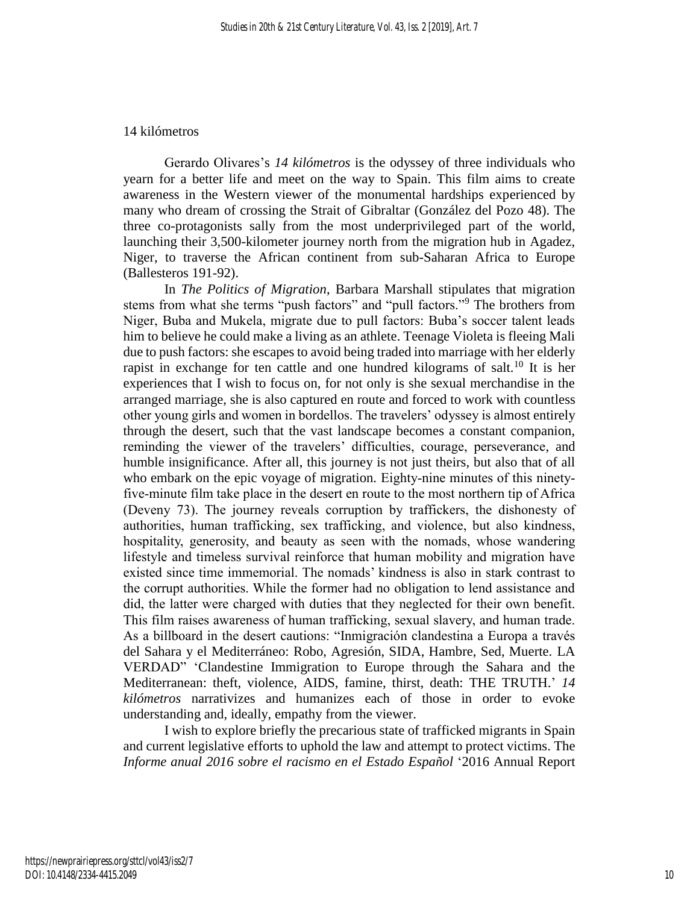#### 14 kilómetros

Gerardo Olivares's *14 kilómetros* is the odyssey of three individuals who yearn for a better life and meet on the way to Spain. This film aims to create awareness in the Western viewer of the monumental hardships experienced by many who dream of crossing the Strait of Gibraltar (González del Pozo 48). The three co-protagonists sally from the most underprivileged part of the world, launching their 3,500-kilometer journey north from the migration hub in Agadez, Niger, to traverse the African continent from sub-Saharan Africa to Europe (Ballesteros 191-92).

In *The Politics of Migration*, Barbara Marshall stipulates that migration stems from what she terms "push factors" and "pull factors."<sup>9</sup> The brothers from Niger, Buba and Mukela, migrate due to pull factors: Buba's soccer talent leads him to believe he could make a living as an athlete. Teenage Violeta is fleeing Mali due to push factors: she escapes to avoid being traded into marriage with her elderly rapist in exchange for ten cattle and one hundred kilograms of salt.<sup>10</sup> It is her experiences that I wish to focus on, for not only is she sexual merchandise in the arranged marriage, she is also captured en route and forced to work with countless other young girls and women in bordellos. The travelers' odyssey is almost entirely through the desert, such that the vast landscape becomes a constant companion, reminding the viewer of the travelers' difficulties, courage, perseverance, and humble insignificance. After all, this journey is not just theirs, but also that of all who embark on the epic voyage of migration. Eighty-nine minutes of this ninetyfive-minute film take place in the desert en route to the most northern tip of Africa (Deveny 73). The journey reveals corruption by traffickers, the dishonesty of authorities, human trafficking, sex trafficking, and violence, but also kindness, hospitality, generosity, and beauty as seen with the nomads, whose wandering lifestyle and timeless survival reinforce that human mobility and migration have existed since time immemorial. The nomads' kindness is also in stark contrast to the corrupt authorities. While the former had no obligation to lend assistance and did, the latter were charged with duties that they neglected for their own benefit. This film raises awareness of human trafficking, sexual slavery, and human trade. As a billboard in the desert cautions: "Inmigración clandestina a Europa a través del Sahara y el Mediterráneo: Robo, Agresión, SIDA, Hambre, Sed, Muerte. LA VERDAD" 'Clandestine Immigration to Europe through the Sahara and the Mediterranean: theft, violence, AIDS, famine, thirst, death: THE TRUTH.' *14 kilómetros* narrativizes and humanizes each of those in order to evoke understanding and, ideally, empathy from the viewer.

I wish to explore briefly the precarious state of trafficked migrants in Spain and current legislative efforts to uphold the law and attempt to protect victims. The *Informe anual 2016 sobre el racismo en el Estado Español* '2016 Annual Report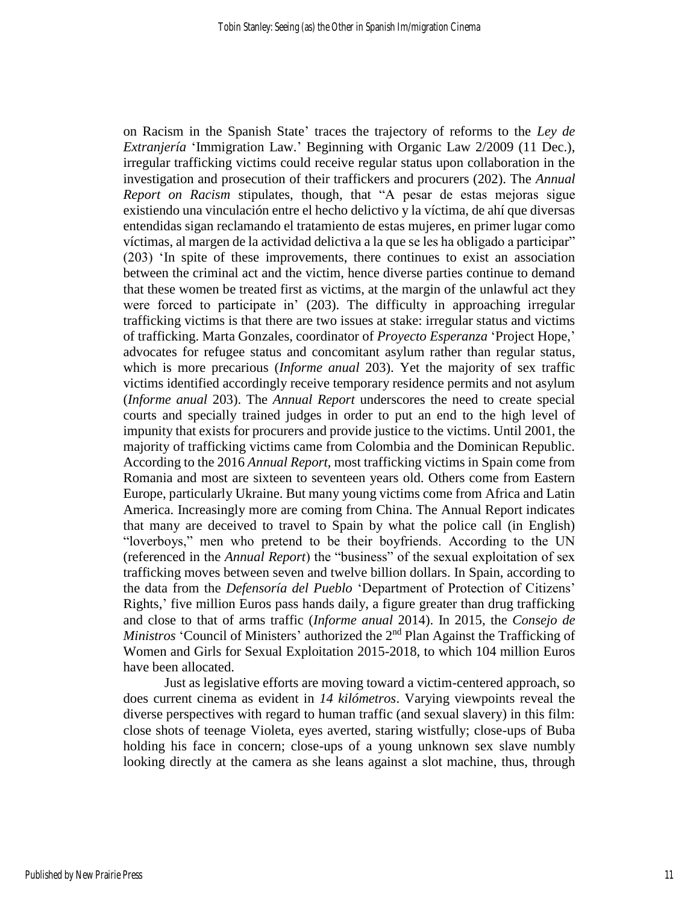on Racism in the Spanish State' traces the trajectory of reforms to the *Ley de Extranjería* 'Immigration Law.' Beginning with Organic Law 2/2009 (11 Dec.), irregular trafficking victims could receive regular status upon collaboration in the investigation and prosecution of their traffickers and procurers (202). The *Annual Report on Racism* stipulates, though, that "A pesar de estas mejoras sigue existiendo una vinculación entre el hecho delictivo y la víctima, de ahí que diversas entendidas sigan reclamando el tratamiento de estas mujeres, en primer lugar como víctimas, al margen de la actividad delictiva a la que se les ha obligado a participar" (203) 'In spite of these improvements, there continues to exist an association between the criminal act and the victim, hence diverse parties continue to demand that these women be treated first as victims, at the margin of the unlawful act they were forced to participate in' (203). The difficulty in approaching irregular trafficking victims is that there are two issues at stake: irregular status and victims of trafficking. Marta Gonzales, coordinator of *Proyecto Esperanza* 'Project Hope,' advocates for refugee status and concomitant asylum rather than regular status, which is more precarious (*Informe anual* 203). Yet the majority of sex traffic victims identified accordingly receive temporary residence permits and not asylum (*Informe anual* 203). The *Annual Report* underscores the need to create special courts and specially trained judges in order to put an end to the high level of impunity that exists for procurers and provide justice to the victims. Until 2001, the majority of trafficking victims came from Colombia and the Dominican Republic. According to the 2016 *Annual Report*, most trafficking victims in Spain come from Romania and most are sixteen to seventeen years old. Others come from Eastern Europe, particularly Ukraine. But many young victims come from Africa and Latin America. Increasingly more are coming from China. The Annual Report indicates that many are deceived to travel to Spain by what the police call (in English) "loverboys," men who pretend to be their boyfriends. According to the UN (referenced in the *Annual Report*) the "business" of the sexual exploitation of sex trafficking moves between seven and twelve billion dollars. In Spain, according to the data from the *Defensoría del Pueblo* 'Department of Protection of Citizens' Rights,' five million Euros pass hands daily, a figure greater than drug trafficking and close to that of arms traffic (*Informe anual* 2014). In 2015, the *Consejo de Ministros* 'Council of Ministers' authorized the 2<sup>nd</sup> Plan Against the Trafficking of Women and Girls for Sexual Exploitation 2015-2018, to which 104 million Euros have been allocated.

Just as legislative efforts are moving toward a victim-centered approach, so does current cinema as evident in *14 kilómetros*. Varying viewpoints reveal the diverse perspectives with regard to human traffic (and sexual slavery) in this film: close shots of teenage Violeta, eyes averted, staring wistfully; close-ups of Buba holding his face in concern; close-ups of a young unknown sex slave numbly looking directly at the camera as she leans against a slot machine, thus, through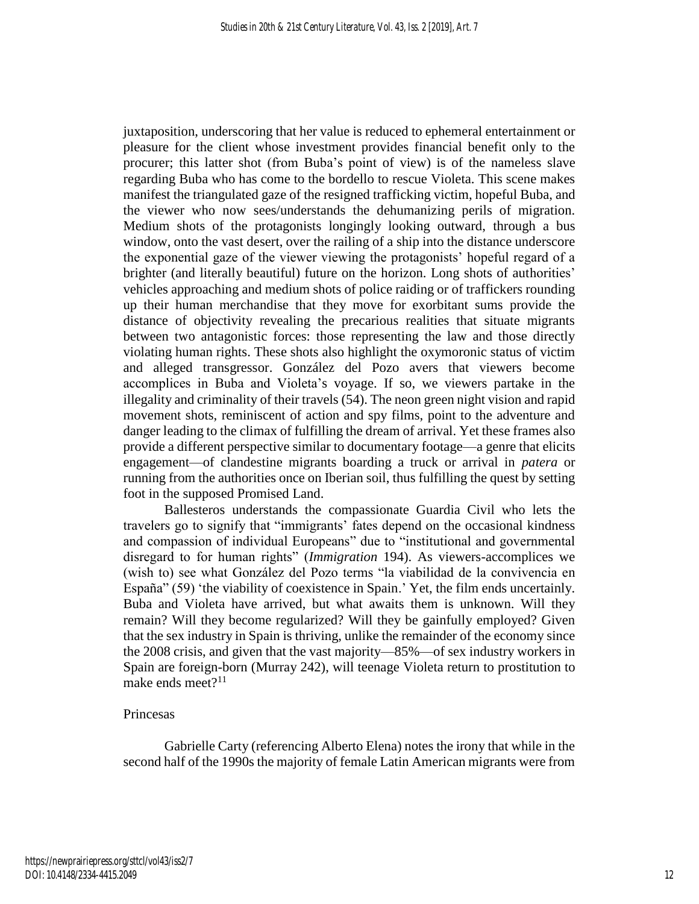juxtaposition, underscoring that her value is reduced to ephemeral entertainment or pleasure for the client whose investment provides financial benefit only to the procurer; this latter shot (from Buba's point of view) is of the nameless slave regarding Buba who has come to the bordello to rescue Violeta. This scene makes manifest the triangulated gaze of the resigned trafficking victim, hopeful Buba, and the viewer who now sees/understands the dehumanizing perils of migration. Medium shots of the protagonists longingly looking outward, through a bus window, onto the vast desert, over the railing of a ship into the distance underscore the exponential gaze of the viewer viewing the protagonists' hopeful regard of a brighter (and literally beautiful) future on the horizon. Long shots of authorities' vehicles approaching and medium shots of police raiding or of traffickers rounding up their human merchandise that they move for exorbitant sums provide the distance of objectivity revealing the precarious realities that situate migrants between two antagonistic forces: those representing the law and those directly violating human rights. These shots also highlight the oxymoronic status of victim and alleged transgressor. González del Pozo avers that viewers become accomplices in Buba and Violeta's voyage. If so, we viewers partake in the illegality and criminality of their travels (54). The neon green night vision and rapid movement shots, reminiscent of action and spy films, point to the adventure and danger leading to the climax of fulfilling the dream of arrival. Yet these frames also provide a different perspective similar to documentary footage—a genre that elicits engagement—of clandestine migrants boarding a truck or arrival in *patera* or running from the authorities once on Iberian soil, thus fulfilling the quest by setting foot in the supposed Promised Land.

Ballesteros understands the compassionate Guardia Civil who lets the travelers go to signify that "immigrants' fates depend on the occasional kindness and compassion of individual Europeans" due to "institutional and governmental disregard to for human rights" (*Immigration* 194). As viewers-accomplices we (wish to) see what González del Pozo terms "la viabilidad de la convivencia en España" (59) 'the viability of coexistence in Spain.' Yet, the film ends uncertainly. Buba and Violeta have arrived, but what awaits them is unknown. Will they remain? Will they become regularized? Will they be gainfully employed? Given that the sex industry in Spain is thriving, unlike the remainder of the economy since the 2008 crisis, and given that the vast majority—85%—of sex industry workers in Spain are foreign-born (Murray 242), will teenage Violeta return to prostitution to make ends meet? $11$ 

#### Princesas

Gabrielle Carty (referencing Alberto Elena) notes the irony that while in the second half of the 1990s the majority of female Latin American migrants were from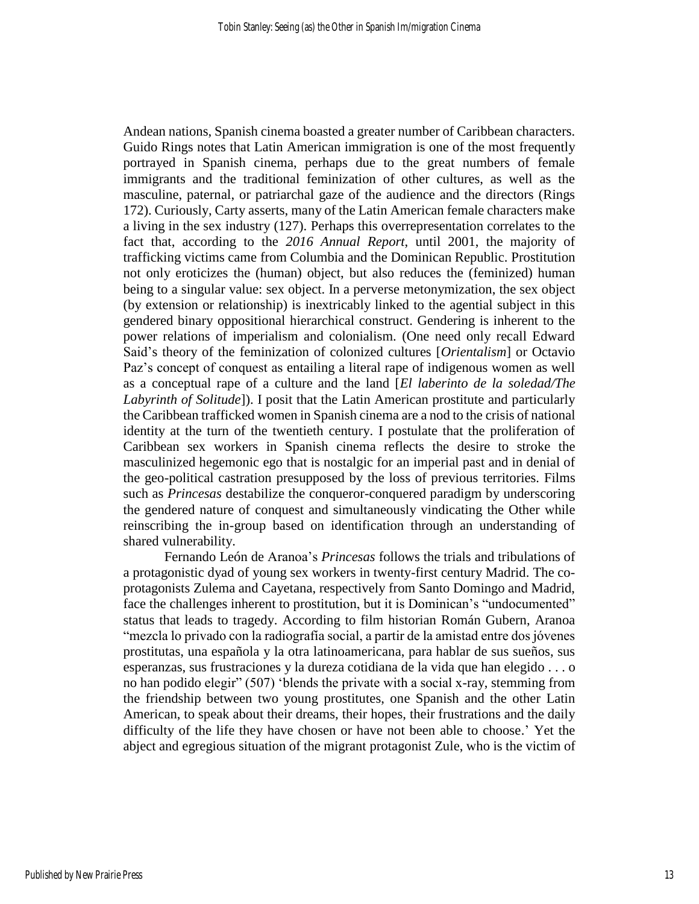Andean nations, Spanish cinema boasted a greater number of Caribbean characters. Guido Rings notes that Latin American immigration is one of the most frequently portrayed in Spanish cinema, perhaps due to the great numbers of female immigrants and the traditional feminization of other cultures, as well as the masculine, paternal, or patriarchal gaze of the audience and the directors (Rings 172). Curiously, Carty asserts, many of the Latin American female characters make a living in the sex industry (127). Perhaps this overrepresentation correlates to the fact that, according to the *2016 Annual Report*, until 2001, the majority of trafficking victims came from Columbia and the Dominican Republic. Prostitution not only eroticizes the (human) object, but also reduces the (feminized) human being to a singular value: sex object. In a perverse metonymization, the sex object (by extension or relationship) is inextricably linked to the agential subject in this gendered binary oppositional hierarchical construct. Gendering is inherent to the power relations of imperialism and colonialism. (One need only recall Edward Said's theory of the feminization of colonized cultures [*Orientalism*] or Octavio Paz's concept of conquest as entailing a literal rape of indigenous women as well as a conceptual rape of a culture and the land [*El laberinto de la soledad/The Labyrinth of Solitude*]). I posit that the Latin American prostitute and particularly the Caribbean trafficked women in Spanish cinema are a nod to the crisis of national identity at the turn of the twentieth century. I postulate that the proliferation of Caribbean sex workers in Spanish cinema reflects the desire to stroke the masculinized hegemonic ego that is nostalgic for an imperial past and in denial of the geo-political castration presupposed by the loss of previous territories. Films such as *Princesas* destabilize the conqueror-conquered paradigm by underscoring the gendered nature of conquest and simultaneously vindicating the Other while reinscribing the in-group based on identification through an understanding of shared vulnerability.

Fernando León de Aranoa's *Princesas* follows the trials and tribulations of a protagonistic dyad of young sex workers in twenty-first century Madrid. The coprotagonists Zulema and Cayetana, respectively from Santo Domingo and Madrid, face the challenges inherent to prostitution, but it is Dominican's "undocumented" status that leads to tragedy. According to film historian Román Gubern, Aranoa "mezcla lo privado con la radiografía social, a partir de la amistad entre dos jóvenes prostitutas, una española y la otra latinoamericana, para hablar de sus sueños, sus esperanzas, sus frustraciones y la dureza cotidiana de la vida que han elegido . . . o no han podido elegir" (507) 'blends the private with a social x-ray, stemming from the friendship between two young prostitutes, one Spanish and the other Latin American, to speak about their dreams, their hopes, their frustrations and the daily difficulty of the life they have chosen or have not been able to choose.' Yet the abject and egregious situation of the migrant protagonist Zule, who is the victim of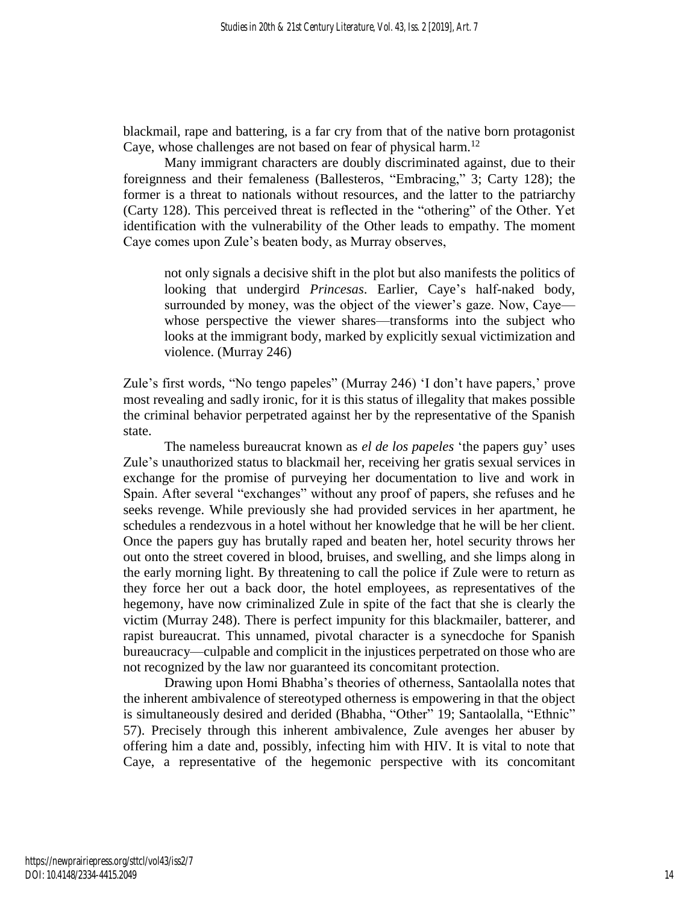blackmail, rape and battering, is a far cry from that of the native born protagonist Caye, whose challenges are not based on fear of physical harm.<sup>12</sup>

Many immigrant characters are doubly discriminated against, due to their foreignness and their femaleness (Ballesteros, "Embracing," 3; Carty 128); the former is a threat to nationals without resources, and the latter to the patriarchy (Carty 128). This perceived threat is reflected in the "othering" of the Other. Yet identification with the vulnerability of the Other leads to empathy. The moment Caye comes upon Zule's beaten body, as Murray observes,

not only signals a decisive shift in the plot but also manifests the politics of looking that undergird *Princesas*. Earlier, Caye's half-naked body, surrounded by money, was the object of the viewer's gaze. Now, Caye whose perspective the viewer shares—transforms into the subject who looks at the immigrant body, marked by explicitly sexual victimization and violence. (Murray 246)

Zule's first words, "No tengo papeles" (Murray 246) 'I don't have papers,' prove most revealing and sadly ironic, for it is this status of illegality that makes possible the criminal behavior perpetrated against her by the representative of the Spanish state.

The nameless bureaucrat known as *el de los papeles* 'the papers guy' uses Zule's unauthorized status to blackmail her, receiving her gratis sexual services in exchange for the promise of purveying her documentation to live and work in Spain. After several "exchanges" without any proof of papers, she refuses and he seeks revenge. While previously she had provided services in her apartment, he schedules a rendezvous in a hotel without her knowledge that he will be her client. Once the papers guy has brutally raped and beaten her, hotel security throws her out onto the street covered in blood, bruises, and swelling, and she limps along in the early morning light. By threatening to call the police if Zule were to return as they force her out a back door, the hotel employees, as representatives of the hegemony, have now criminalized Zule in spite of the fact that she is clearly the victim (Murray 248). There is perfect impunity for this blackmailer, batterer, and rapist bureaucrat. This unnamed, pivotal character is a synecdoche for Spanish bureaucracy—culpable and complicit in the injustices perpetrated on those who are not recognized by the law nor guaranteed its concomitant protection.

Drawing upon Homi Bhabha's theories of otherness, Santaolalla notes that the inherent ambivalence of stereotyped otherness is empowering in that the object is simultaneously desired and derided (Bhabha, "Other" 19; Santaolalla, "Ethnic" 57). Precisely through this inherent ambivalence, Zule avenges her abuser by offering him a date and, possibly, infecting him with HIV. It is vital to note that Caye, a representative of the hegemonic perspective with its concomitant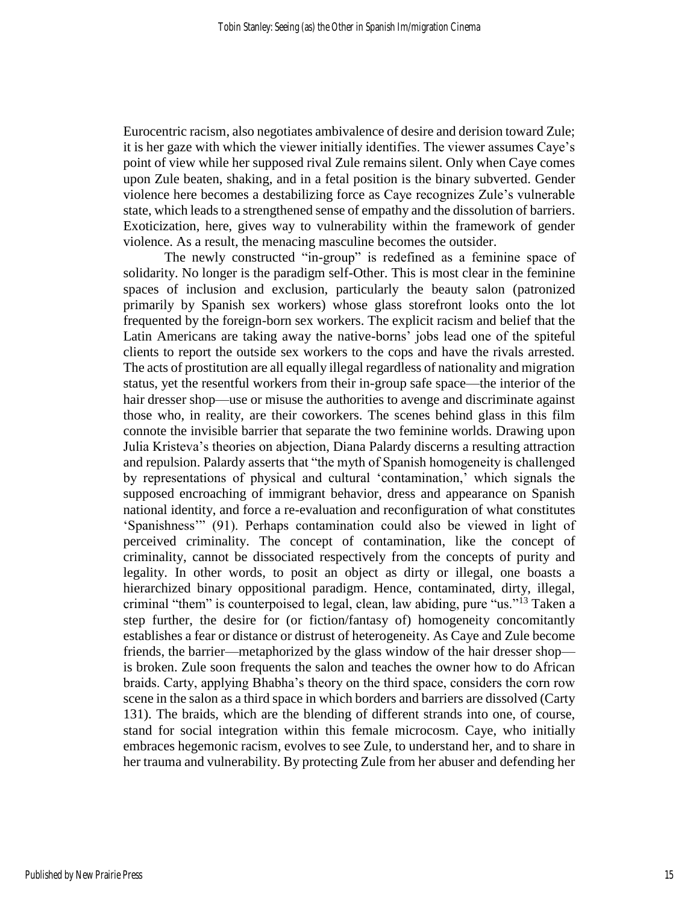Eurocentric racism, also negotiates ambivalence of desire and derision toward Zule; it is her gaze with which the viewer initially identifies. The viewer assumes Caye's point of view while her supposed rival Zule remains silent. Only when Caye comes upon Zule beaten, shaking, and in a fetal position is the binary subverted. Gender violence here becomes a destabilizing force as Caye recognizes Zule's vulnerable state, which leads to a strengthened sense of empathy and the dissolution of barriers. Exoticization, here, gives way to vulnerability within the framework of gender violence. As a result, the menacing masculine becomes the outsider.

The newly constructed "in-group" is redefined as a feminine space of solidarity. No longer is the paradigm self-Other. This is most clear in the feminine spaces of inclusion and exclusion, particularly the beauty salon (patronized primarily by Spanish sex workers) whose glass storefront looks onto the lot frequented by the foreign-born sex workers. The explicit racism and belief that the Latin Americans are taking away the native-borns' jobs lead one of the spiteful clients to report the outside sex workers to the cops and have the rivals arrested. The acts of prostitution are all equally illegal regardless of nationality and migration status, yet the resentful workers from their in-group safe space—the interior of the hair dresser shop—use or misuse the authorities to avenge and discriminate against those who, in reality, are their coworkers. The scenes behind glass in this film connote the invisible barrier that separate the two feminine worlds. Drawing upon Julia Kristeva's theories on abjection, Diana Palardy discerns a resulting attraction and repulsion. Palardy asserts that "the myth of Spanish homogeneity is challenged by representations of physical and cultural 'contamination,' which signals the supposed encroaching of immigrant behavior, dress and appearance on Spanish national identity, and force a re-evaluation and reconfiguration of what constitutes 'Spanishness'" (91). Perhaps contamination could also be viewed in light of perceived criminality. The concept of contamination, like the concept of criminality, cannot be dissociated respectively from the concepts of purity and legality. In other words, to posit an object as dirty or illegal, one boasts a hierarchized binary oppositional paradigm. Hence, contaminated, dirty, illegal, criminal "them" is counterpoised to legal, clean, law abiding, pure "us."<sup>13</sup> Taken a step further, the desire for (or fiction/fantasy of) homogeneity concomitantly establishes a fear or distance or distrust of heterogeneity. As Caye and Zule become friends, the barrier—metaphorized by the glass window of the hair dresser shop is broken. Zule soon frequents the salon and teaches the owner how to do African braids. Carty, applying Bhabha's theory on the third space, considers the corn row scene in the salon as a third space in which borders and barriers are dissolved (Carty 131). The braids, which are the blending of different strands into one, of course, stand for social integration within this female microcosm. Caye, who initially embraces hegemonic racism, evolves to see Zule, to understand her, and to share in her trauma and vulnerability. By protecting Zule from her abuser and defending her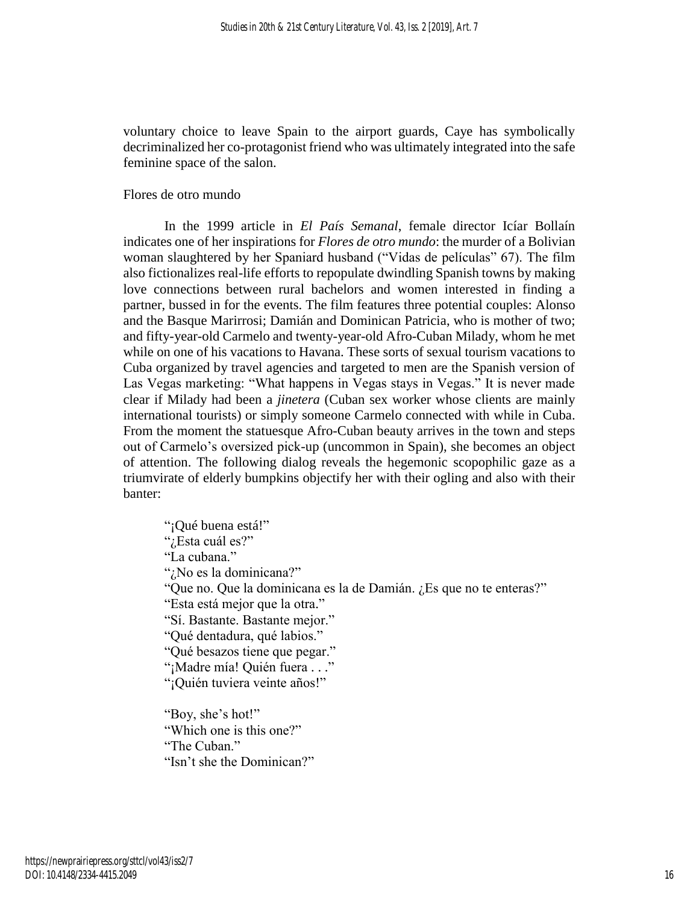voluntary choice to leave Spain to the airport guards, Caye has symbolically decriminalized her co-protagonist friend who was ultimately integrated into the safe feminine space of the salon.

## Flores de otro mundo

In the 1999 article in *El País Semanal*, female director Icíar Bollaín indicates one of her inspirations for *Flores de otro mundo*: the murder of a Bolivian woman slaughtered by her Spaniard husband ("Vidas de películas" 67). The film also fictionalizes real-life efforts to repopulate dwindling Spanish towns by making love connections between rural bachelors and women interested in finding a partner, bussed in for the events. The film features three potential couples: Alonso and the Basque Marirrosi; Damián and Dominican Patricia, who is mother of two; and fifty-year-old Carmelo and twenty-year-old Afro-Cuban Milady, whom he met while on one of his vacations to Havana. These sorts of sexual tourism vacations to Cuba organized by travel agencies and targeted to men are the Spanish version of Las Vegas marketing: "What happens in Vegas stays in Vegas." It is never made clear if Milady had been a *jinetera* (Cuban sex worker whose clients are mainly international tourists) or simply someone Carmelo connected with while in Cuba. From the moment the statuesque Afro-Cuban beauty arrives in the town and steps out of Carmelo's oversized pick-up (uncommon in Spain), she becomes an object of attention. The following dialog reveals the hegemonic scopophilic gaze as a triumvirate of elderly bumpkins objectify her with their ogling and also with their banter:

"¡Qué buena está!" "¿Esta cuál es?" "La cubana." "¿No es la dominicana?" "Que no. Que la dominicana es la de Damián. ¿Es que no te enteras?" "Esta está mejor que la otra." "Sí. Bastante. Bastante mejor." "Qué dentadura, qué labios." "Qué besazos tiene que pegar." "¡Madre mía! Quién fuera . . ." "¡Quién tuviera veinte años!" "Boy, she's hot!" "Which one is this one?" "The Cuban."

"Isn't she the Dominican?"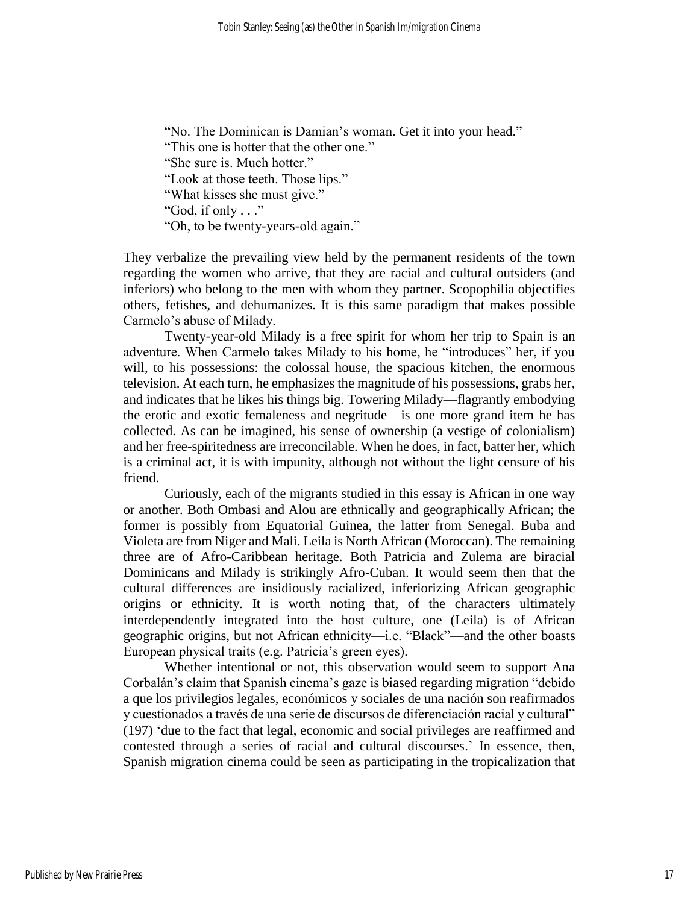"No. The Dominican is Damian's woman. Get it into your head." "This one is hotter that the other one." "She sure is. Much hotter." "Look at those teeth. Those lips." "What kisses she must give." "God, if only . . ." "Oh, to be twenty-years-old again."

They verbalize the prevailing view held by the permanent residents of the town regarding the women who arrive, that they are racial and cultural outsiders (and inferiors) who belong to the men with whom they partner. Scopophilia objectifies others, fetishes, and dehumanizes. It is this same paradigm that makes possible Carmelo's abuse of Milady.

Twenty-year-old Milady is a free spirit for whom her trip to Spain is an adventure. When Carmelo takes Milady to his home, he "introduces" her, if you will, to his possessions: the colossal house, the spacious kitchen, the enormous television. At each turn, he emphasizes the magnitude of his possessions, grabs her, and indicates that he likes his things big. Towering Milady—flagrantly embodying the erotic and exotic femaleness and negritude—is one more grand item he has collected. As can be imagined, his sense of ownership (a vestige of colonialism) and her free-spiritedness are irreconcilable. When he does, in fact, batter her, which is a criminal act, it is with impunity, although not without the light censure of his friend.

Curiously, each of the migrants studied in this essay is African in one way or another. Both Ombasi and Alou are ethnically and geographically African; the former is possibly from Equatorial Guinea, the latter from Senegal. Buba and Violeta are from Niger and Mali. Leila is North African (Moroccan). The remaining three are of Afro-Caribbean heritage. Both Patricia and Zulema are biracial Dominicans and Milady is strikingly Afro-Cuban. It would seem then that the cultural differences are insidiously racialized, inferiorizing African geographic origins or ethnicity. It is worth noting that, of the characters ultimately interdependently integrated into the host culture, one (Leila) is of African geographic origins, but not African ethnicity—i.e. "Black"—and the other boasts European physical traits (e.g. Patricia's green eyes).

Whether intentional or not, this observation would seem to support Ana Corbalán's claim that Spanish cinema's gaze is biased regarding migration "debido a que los privilegios legales, económicos y sociales de una nación son reafirmados y cuestionados a través de una serie de discursos de diferenciación racial y cultural" (197) 'due to the fact that legal, economic and social privileges are reaffirmed and contested through a series of racial and cultural discourses.' In essence, then, Spanish migration cinema could be seen as participating in the tropicalization that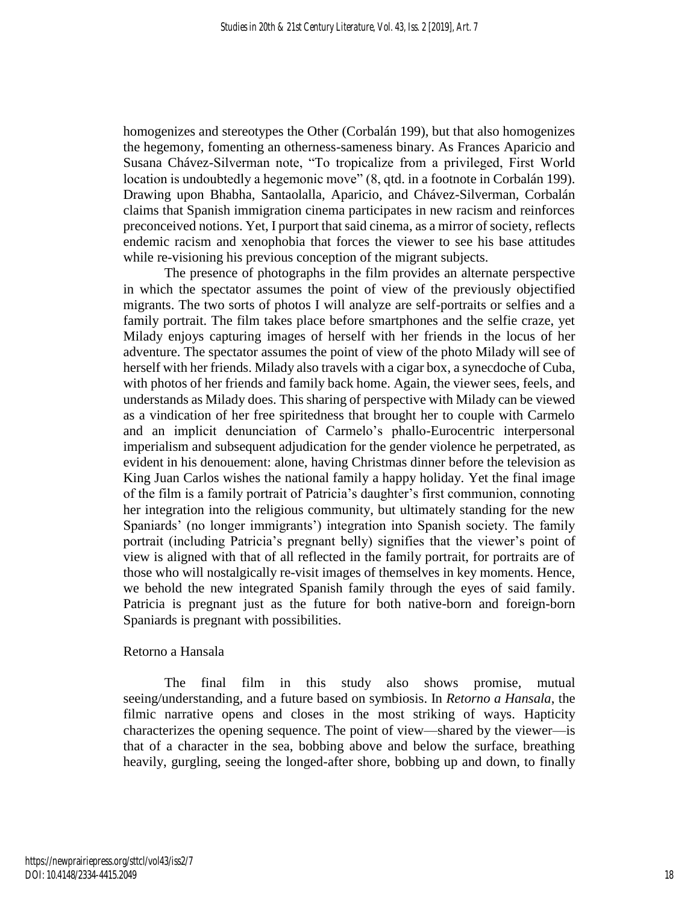homogenizes and stereotypes the Other (Corbalán 199), but that also homogenizes the hegemony, fomenting an otherness-sameness binary. As Frances Aparicio and Susana Chávez-Silverman note, "To tropicalize from a privileged, First World location is undoubtedly a hegemonic move" (8, qtd. in a footnote in Corbalán 199). Drawing upon Bhabha, Santaolalla, Aparicio, and Chávez-Silverman, Corbalán claims that Spanish immigration cinema participates in new racism and reinforces preconceived notions. Yet, I purport that said cinema, as a mirror of society, reflects endemic racism and xenophobia that forces the viewer to see his base attitudes while re-visioning his previous conception of the migrant subjects.

The presence of photographs in the film provides an alternate perspective in which the spectator assumes the point of view of the previously objectified migrants. The two sorts of photos I will analyze are self-portraits or selfies and a family portrait. The film takes place before smartphones and the selfie craze, yet Milady enjoys capturing images of herself with her friends in the locus of her adventure. The spectator assumes the point of view of the photo Milady will see of herself with her friends. Milady also travels with a cigar box, a synecdoche of Cuba, with photos of her friends and family back home. Again, the viewer sees, feels, and understands as Milady does. This sharing of perspective with Milady can be viewed as a vindication of her free spiritedness that brought her to couple with Carmelo and an implicit denunciation of Carmelo's phallo-Eurocentric interpersonal imperialism and subsequent adjudication for the gender violence he perpetrated, as evident in his denouement: alone, having Christmas dinner before the television as King Juan Carlos wishes the national family a happy holiday. Yet the final image of the film is a family portrait of Patricia's daughter's first communion, connoting her integration into the religious community, but ultimately standing for the new Spaniards' (no longer immigrants') integration into Spanish society. The family portrait (including Patricia's pregnant belly) signifies that the viewer's point of view is aligned with that of all reflected in the family portrait, for portraits are of those who will nostalgically re-visit images of themselves in key moments. Hence, we behold the new integrated Spanish family through the eyes of said family. Patricia is pregnant just as the future for both native-born and foreign-born Spaniards is pregnant with possibilities.

#### Retorno a Hansala

The final film in this study also shows promise, mutual seeing/understanding, and a future based on symbiosis. In *Retorno a Hansala*, the filmic narrative opens and closes in the most striking of ways. Hapticity characterizes the opening sequence. The point of view—shared by the viewer—is that of a character in the sea, bobbing above and below the surface, breathing heavily, gurgling, seeing the longed-after shore, bobbing up and down, to finally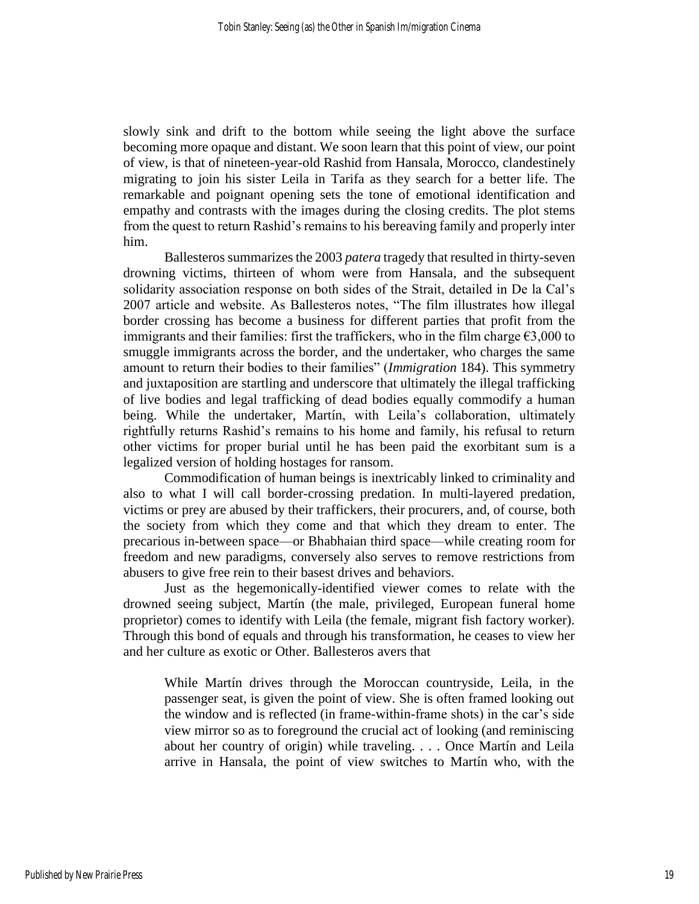slowly sink and drift to the bottom while seeing the light above the surface becoming more opaque and distant. We soon learn that this point of view, our point of view, is that of nineteen-year-old Rashid from Hansala, Morocco, clandestinely migrating to join his sister Leila in Tarifa as they search for a better life. The remarkable and poignant opening sets the tone of emotional identification and empathy and contrasts with the images during the closing credits. The plot stems from the quest to return Rashid's remains to his bereaving family and properly inter him.

Ballesteros summarizes the 2003 *patera* tragedy that resulted in thirty-seven drowning victims, thirteen of whom were from Hansala, and the subsequent solidarity association response on both sides of the Strait, detailed in De la Cal's 2007 article and website. As Ballesteros notes, "The film illustrates how illegal border crossing has become a business for different parties that profit from the immigrants and their families: first the traffickers, who in the film charge  $\epsilon$ 3,000 to smuggle immigrants across the border, and the undertaker, who charges the same amount to return their bodies to their families" (*Immigration* 184). This symmetry and juxtaposition are startling and underscore that ultimately the illegal trafficking of live bodies and legal trafficking of dead bodies equally commodify a human being. While the undertaker, Martín, with Leila's collaboration, ultimately rightfully returns Rashid's remains to his home and family, his refusal to return other victims for proper burial until he has been paid the exorbitant sum is a legalized version of holding hostages for ransom.

Commodification of human beings is inextricably linked to criminality and also to what I will call border-crossing predation. In multi-layered predation, victims or prey are abused by their traffickers, their procurers, and, of course, both the society from which they come and that which they dream to enter. The precarious in-between space—or Bhabhaian third space—while creating room for freedom and new paradigms, conversely also serves to remove restrictions from abusers to give free rein to their basest drives and behaviors.

Just as the hegemonically-identified viewer comes to relate with the drowned seeing subject, Martín (the male, privileged, European funeral home proprietor) comes to identify with Leila (the female, migrant fish factory worker). Through this bond of equals and through his transformation, he ceases to view her and her culture as exotic or Other. Ballesteros avers that

While Martín drives through the Moroccan countryside, Leila, in the passenger seat, is given the point of view. She is often framed looking out the window and is reflected (in frame-within-frame shots) in the car's side view mirror so as to foreground the crucial act of looking (and reminiscing about her country of origin) while traveling. . . . Once Martín and Leila arrive in Hansala, the point of view switches to Martín who, with the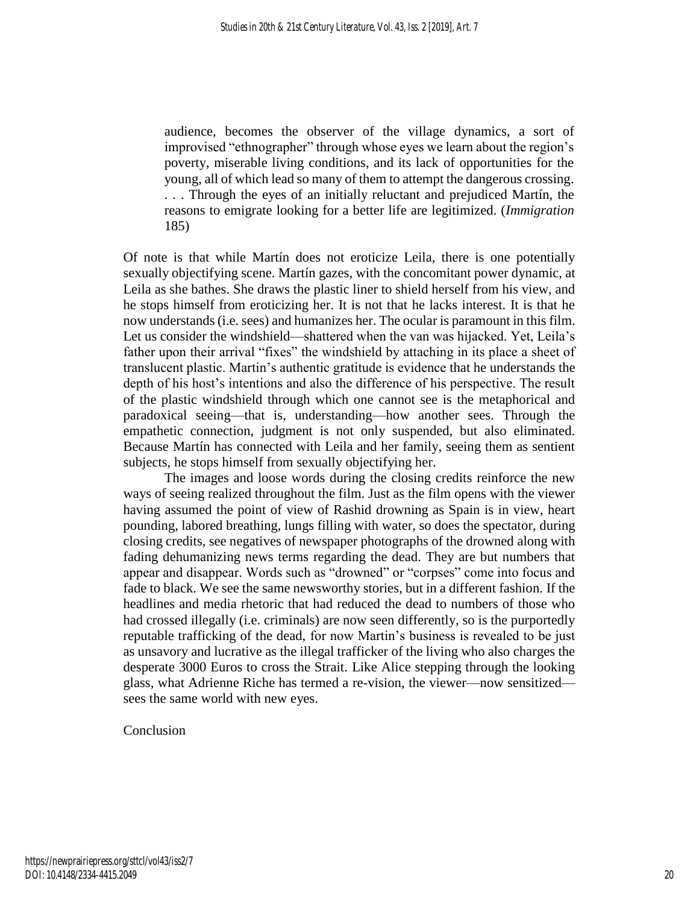audience, becomes the observer of the village dynamics, a sort of improvised "ethnographer" through whose eyes we learn about the region's poverty, miserable living conditions, and its lack of opportunities for the young, all of which lead so many of them to attempt the dangerous crossing. . . . Through the eyes of an initially reluctant and prejudiced Martín, the reasons to emigrate looking for a better life are legitimized. (*Immigration* 185)

Of note is that while Martín does not eroticize Leila, there is one potentially sexually objectifying scene. Martín gazes, with the concomitant power dynamic, at Leila as she bathes. She draws the plastic liner to shield herself from his view, and he stops himself from eroticizing her. It is not that he lacks interest. It is that he now understands (i.e. sees) and humanizes her. The ocular is paramount in this film. Let us consider the windshield—shattered when the van was hijacked. Yet, Leila's father upon their arrival "fixes" the windshield by attaching in its place a sheet of translucent plastic. Martin's authentic gratitude is evidence that he understands the depth of his host's intentions and also the difference of his perspective. The result of the plastic windshield through which one cannot see is the metaphorical and paradoxical seeing—that is, understanding—how another sees. Through the empathetic connection, judgment is not only suspended, but also eliminated. Because Martín has connected with Leila and her family, seeing them as sentient subjects, he stops himself from sexually objectifying her.

The images and loose words during the closing credits reinforce the new ways of seeing realized throughout the film. Just as the film opens with the viewer having assumed the point of view of Rashid drowning as Spain is in view, heart pounding, labored breathing, lungs filling with water, so does the spectator, during closing credits, see negatives of newspaper photographs of the drowned along with fading dehumanizing news terms regarding the dead. They are but numbers that appear and disappear. Words such as "drowned" or "corpses" come into focus and fade to black. We see the same newsworthy stories, but in a different fashion. If the headlines and media rhetoric that had reduced the dead to numbers of those who had crossed illegally (i.e. criminals) are now seen differently, so is the purportedly reputable trafficking of the dead, for now Martin's business is revealed to be just as unsavory and lucrative as the illegal trafficker of the living who also charges the desperate 3000 Euros to cross the Strait. Like Alice stepping through the looking glass, what Adrienne Riche has termed a re-vision, the viewer—now sensitized sees the same world with new eyes.

Conclusion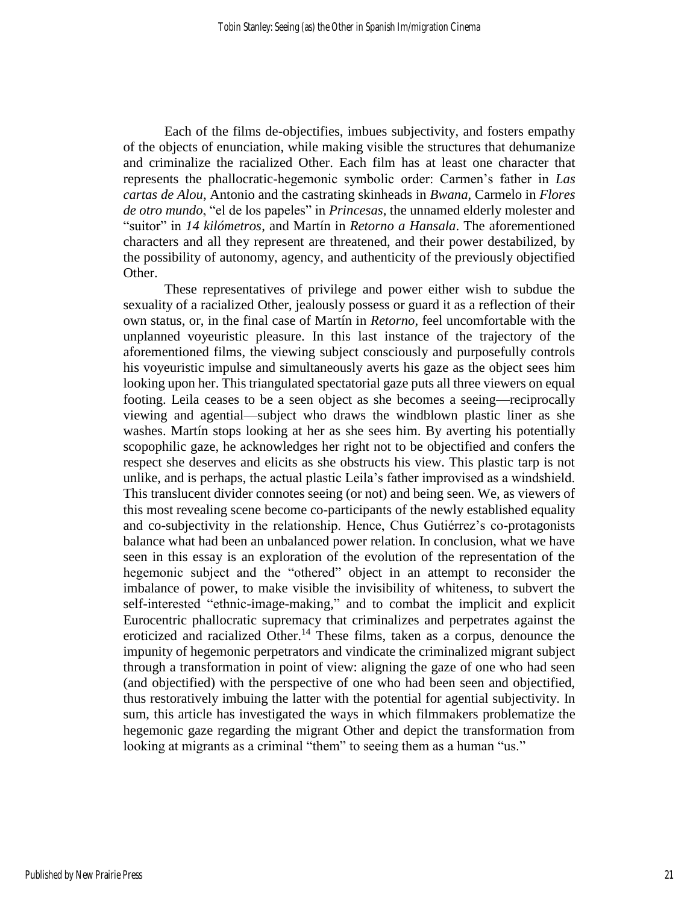Each of the films de-objectifies, imbues subjectivity, and fosters empathy of the objects of enunciation, while making visible the structures that dehumanize and criminalize the racialized Other. Each film has at least one character that represents the phallocratic-hegemonic symbolic order: Carmen's father in *Las cartas de Alou*, Antonio and the castrating skinheads in *Bwana*, Carmelo in *Flores de otro mundo*, "el de los papeles" in *Princesas*, the unnamed elderly molester and "suitor" in *14 kilómetros*, and Martín in *Retorno a Hansala*. The aforementioned characters and all they represent are threatened, and their power destabilized, by the possibility of autonomy, agency, and authenticity of the previously objectified Other.

These representatives of privilege and power either wish to subdue the sexuality of a racialized Other, jealously possess or guard it as a reflection of their own status, or, in the final case of Martín in *Retorno*, feel uncomfortable with the unplanned voyeuristic pleasure. In this last instance of the trajectory of the aforementioned films, the viewing subject consciously and purposefully controls his voyeuristic impulse and simultaneously averts his gaze as the object sees him looking upon her. This triangulated spectatorial gaze puts all three viewers on equal footing. Leila ceases to be a seen object as she becomes a seeing—reciprocally viewing and agential—subject who draws the windblown plastic liner as she washes. Martín stops looking at her as she sees him. By averting his potentially scopophilic gaze, he acknowledges her right not to be objectified and confers the respect she deserves and elicits as she obstructs his view. This plastic tarp is not unlike, and is perhaps, the actual plastic Leila's father improvised as a windshield. This translucent divider connotes seeing (or not) and being seen. We, as viewers of this most revealing scene become co-participants of the newly established equality and co-subjectivity in the relationship. Hence, Chus Gutiérrez's co-protagonists balance what had been an unbalanced power relation. In conclusion, what we have seen in this essay is an exploration of the evolution of the representation of the hegemonic subject and the "othered" object in an attempt to reconsider the imbalance of power, to make visible the invisibility of whiteness, to subvert the self-interested "ethnic-image-making," and to combat the implicit and explicit Eurocentric phallocratic supremacy that criminalizes and perpetrates against the eroticized and racialized Other.<sup>14</sup> These films, taken as a corpus, denounce the impunity of hegemonic perpetrators and vindicate the criminalized migrant subject through a transformation in point of view: aligning the gaze of one who had seen (and objectified) with the perspective of one who had been seen and objectified, thus restoratively imbuing the latter with the potential for agential subjectivity. In sum, this article has investigated the ways in which filmmakers problematize the hegemonic gaze regarding the migrant Other and depict the transformation from looking at migrants as a criminal "them" to seeing them as a human "us."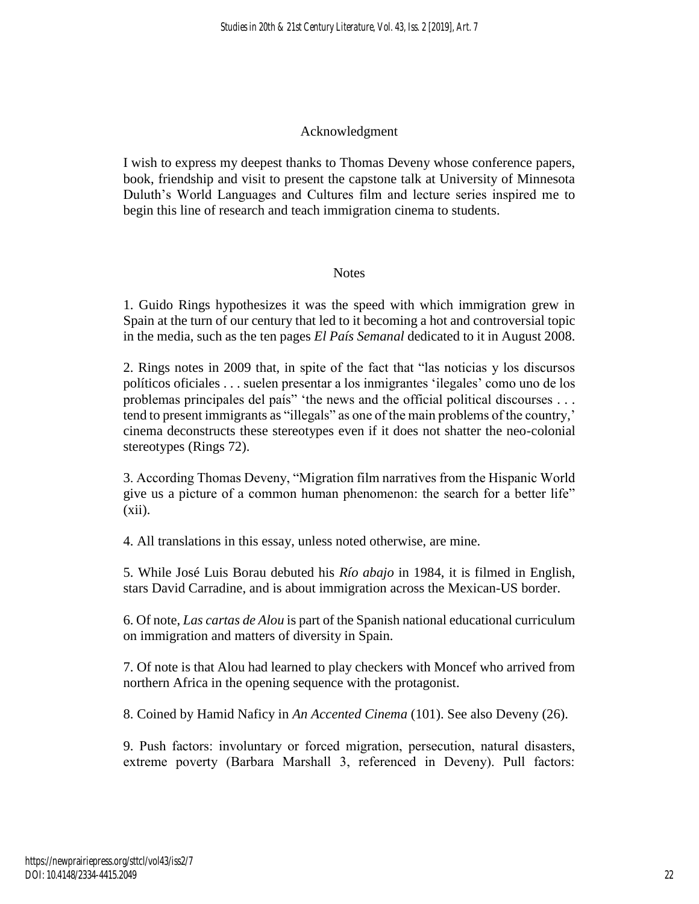# Acknowledgment

I wish to express my deepest thanks to Thomas Deveny whose conference papers, book, friendship and visit to present the capstone talk at University of Minnesota Duluth's World Languages and Cultures film and lecture series inspired me to begin this line of research and teach immigration cinema to students.

# **Notes**

1. Guido Rings hypothesizes it was the speed with which immigration grew in Spain at the turn of our century that led to it becoming a hot and controversial topic in the media, such as the ten pages *El País Semanal* dedicated to it in August 2008.

2. Rings notes in 2009 that, in spite of the fact that "las noticias y los discursos políticos oficiales . . . suelen presentar a los inmigrantes 'ilegales' como uno de los problemas principales del país" 'the news and the official political discourses . . . tend to present immigrants as "illegals" as one of the main problems of the country,' cinema deconstructs these stereotypes even if it does not shatter the neo-colonial stereotypes (Rings 72).

3. According Thomas Deveny, "Migration film narratives from the Hispanic World give us a picture of a common human phenomenon: the search for a better life"  $(xii)$ .

4. All translations in this essay, unless noted otherwise, are mine.

5. While José Luis Borau debuted his *Río abajo* in 1984, it is filmed in English, stars David Carradine, and is about immigration across the Mexican-US border.

6. Of note, *Las cartas de Alou* is part of the Spanish national educational curriculum on immigration and matters of diversity in Spain.

7. Of note is that Alou had learned to play checkers with Moncef who arrived from northern Africa in the opening sequence with the protagonist.

8. Coined by Hamid Naficy in *An Accented Cinema* (101). See also Deveny (26).

9. Push factors: involuntary or forced migration, persecution, natural disasters, extreme poverty (Barbara Marshall 3, referenced in Deveny). Pull factors: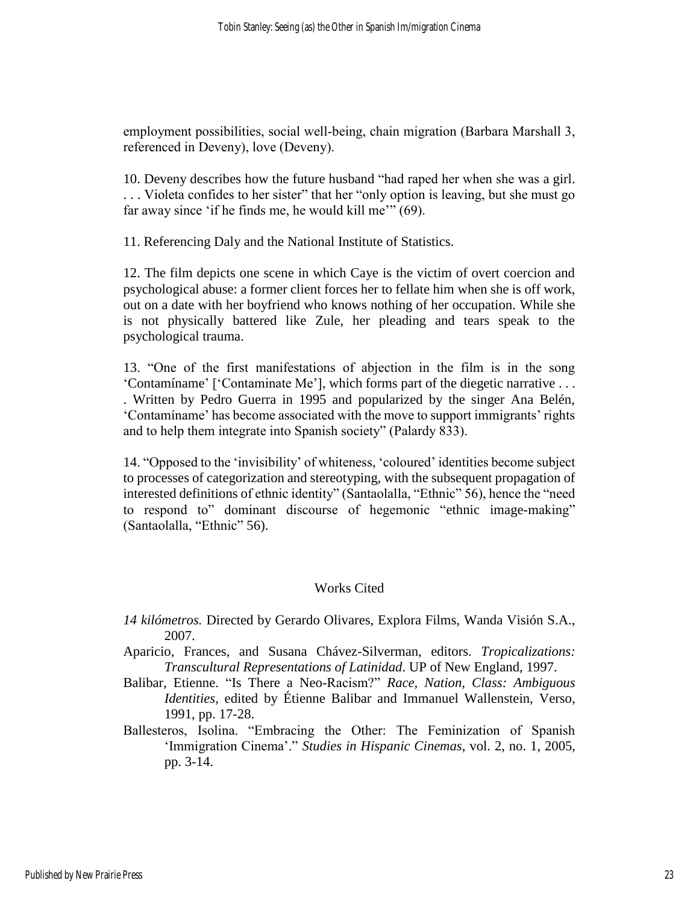employment possibilities, social well-being, chain migration (Barbara Marshall 3, referenced in Deveny), love (Deveny).

10. Deveny describes how the future husband "had raped her when she was a girl. . . . Violeta confides to her sister" that her "only option is leaving, but she must go far away since 'if he finds me, he would kill me'" (69).

11. Referencing Daly and the National Institute of Statistics.

12. The film depicts one scene in which Caye is the victim of overt coercion and psychological abuse: a former client forces her to fellate him when she is off work, out on a date with her boyfriend who knows nothing of her occupation. While she is not physically battered like Zule, her pleading and tears speak to the psychological trauma.

13. "One of the first manifestations of abjection in the film is in the song 'Contamíname' ['Contaminate Me'], which forms part of the diegetic narrative . . . . Written by Pedro Guerra in 1995 and popularized by the singer Ana Belén, 'Contamíname' has become associated with the move to support immigrants' rights and to help them integrate into Spanish society" (Palardy 833).

14. "Opposed to the 'invisibility' of whiteness, 'coloured' identities become subject to processes of categorization and stereotyping, with the subsequent propagation of interested definitions of ethnic identity" (Santaolalla, "Ethnic" 56), hence the "need to respond to" dominant discourse of hegemonic "ethnic image-making" (Santaolalla, "Ethnic" 56).

# Works Cited

- *14 kilómetros.* Directed by Gerardo Olivares, Explora Films, Wanda Visión S.A., 2007.
- Aparicio, Frances, and Susana Chávez-Silverman, editors. *Tropicalizations: Transcultural Representations of Latinidad*. UP of New England, 1997.
- Balibar, Etienne. "Is There a Neo-Racism?" *Race, Nation, Class: Ambiguous Identities*, edited by Étienne Balibar and Immanuel Wallenstein, Verso, 1991, pp. 17-28.
- Ballesteros, Isolina. "Embracing the Other: The Feminization of Spanish 'Immigration Cinema'." *Studies in Hispanic Cinemas*, vol. 2, no. 1, 2005, pp. 3-14.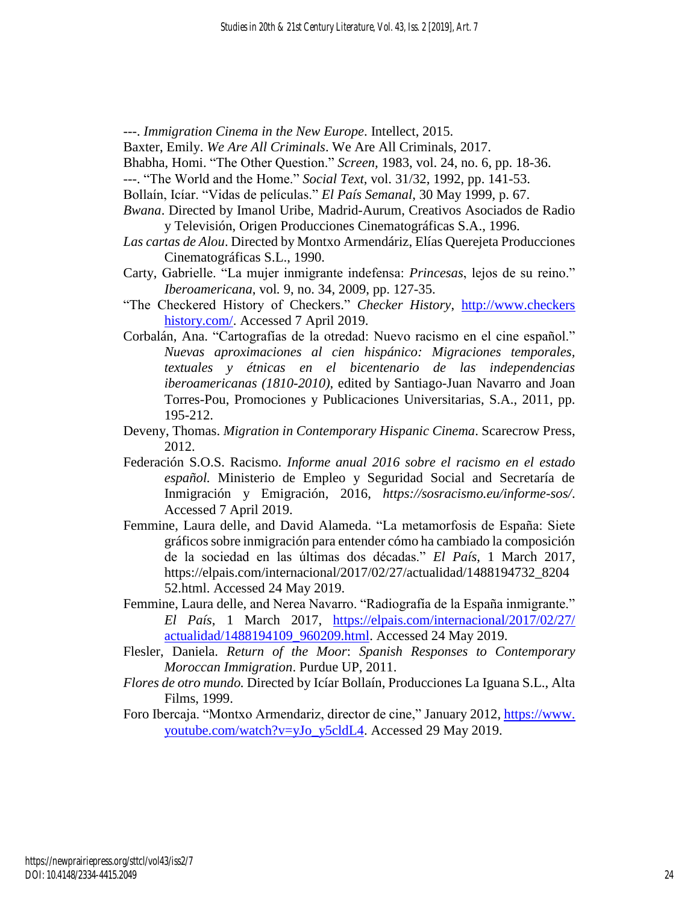---. *Immigration Cinema in the New Europe*. Intellect, 2015.

- Baxter, Emily. *We Are All Criminals*. We Are All Criminals, 2017.
- Bhabha, Homi. "The Other Question." *Screen,* 1983, vol. 24, no. 6, pp. 18-36.
- ---. "The World and the Home." *Social Text*, vol. 31/32, 1992, pp. 141-53.
- Bollaín, Icíar. "Vidas de películas." *El País Semanal*, 30 May 1999, p. 67.
- *Bwana*. Directed by Imanol Uribe, Madrid-Aurum, Creativos Asociados de Radio y Televisión, Origen Producciones Cinematográficas S.A., 1996.
- *Las cartas de Alou*. Directed by Montxo Armendáriz, Elías Querejeta Producciones Cinematográficas S.L., 1990.
- Carty, Gabrielle. "La mujer inmigrante indefensa: *Princesas*, lejos de su reino." *Iberoamericana*, vol*.* 9, no. 34, 2009, pp. 127-35.
- "The Checkered History of Checkers." *Checker History*, http://www.checkers history.com/. Accessed 7 April 2019.
- Corbalán, Ana. "Cartografías de la otredad: Nuevo racismo en el cine español." *Nuevas aproximaciones al cien hispánico: Migraciones temporales, textuales y étnicas en el bicentenario de las independencias iberoamericanas (1810-2010)*, edited by Santiago-Juan Navarro and Joan Torres-Pou, Promociones y Publicaciones Universitarias, S.A., 2011, pp. 195-212.
- Deveny, Thomas. *Migration in Contemporary Hispanic Cinema*. Scarecrow Press, 2012.
- Federación S.O.S. Racismo. *Informe anual 2016 sobre el racismo en el estado español.* Ministerio de Empleo y Seguridad Social and Secretaría de Inmigración y Emigración, 2016, *<https://sosracismo.eu/informe-sos/>*. Accessed 7 April 2019.
- Femmine, Laura delle, and David Alameda. "La metamorfosis de España: Siete gráficos sobre inmigración para entender cómo ha cambiado la composición de la sociedad en las últimas dos décadas." *El País*, 1 March 2017, https://elpais.com/internacional/2017/02/27/actualidad/1488194732\_8204 52.html. Accessed 24 May 2019.
- Femmine, Laura delle, and Nerea Navarro. "Radiografía de la España inmigrante." *El País*, 1 March 2017, [https://elpais.com/internacional/2017/02/27/](https://elpais.com/internacional/2017/02/27/%20actualidad/1488194109_960209.html)  [actualidad/1488194109\\_960209.html.](https://elpais.com/internacional/2017/02/27/%20actualidad/1488194109_960209.html) Accessed 24 May 2019.
- Flesler, Daniela. *Return of the Moor*: *Spanish Responses to Contemporary Moroccan Immigration*. Purdue UP, 2011.
- *Flores de otro mundo.* Directed by Icíar Bollaín, Producciones La Iguana S.L., Alta Films, 1999.
- Foro Ibercaja. "Montxo Armendariz, director de cine," January 2012, https://www. youtube.com/watch?v=yJo\_y5cldL4. Accessed 29 May 2019.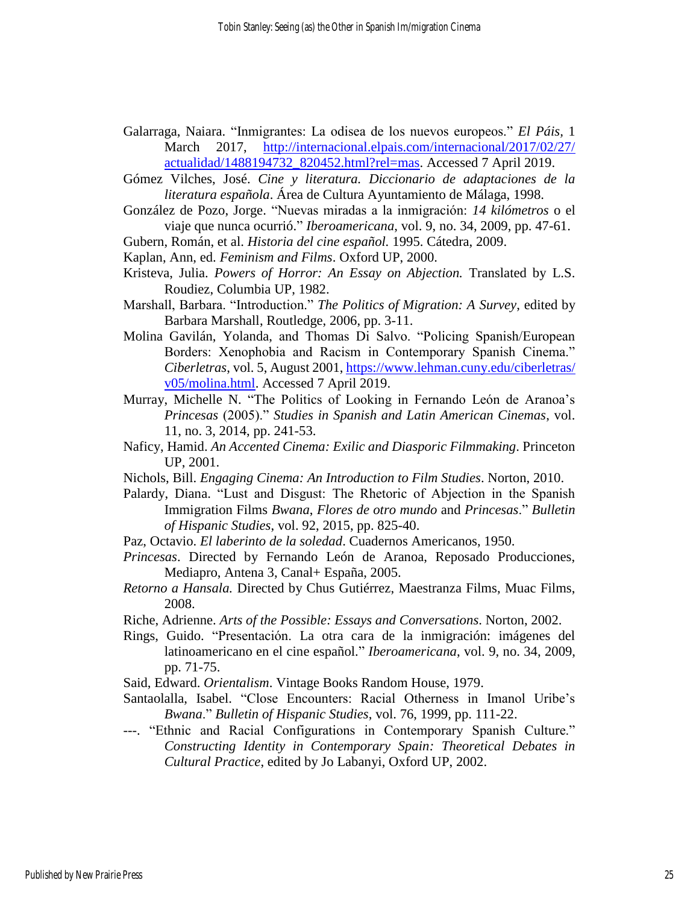- Galarraga, Naiara. "Inmigrantes: La odisea de los nuevos europeos." *El Páis,* 1 March 2017, [http://internacional.elpais.com/internacional/2017/02/27/](http://internacional.elpais.com/internacional/2017/02/27/%20actualidad/1488194732_820452.html?rel=mas)  [actualidad/1488194732\\_820452.html?rel=mas.](http://internacional.elpais.com/internacional/2017/02/27/%20actualidad/1488194732_820452.html?rel=mas) Accessed 7 April 2019.
- Gómez Vilches, José. *Cine y literatura. Diccionario de adaptaciones de la literatura española*. Área de Cultura Ayuntamiento de Málaga, 1998.
- González de Pozo, Jorge. "Nuevas miradas a la inmigración: *14 kilómetros* o el viaje que nunca ocurrió." *Iberoamericana*, vol. 9, no. 34, 2009, pp. 47-61.
- Gubern, Román, et al. *Historia del cine español.* 1995. Cátedra, 2009.
- Kaplan, Ann, ed. *Feminism and Films*. Oxford UP, 2000.
- Kristeva, Julia. *Powers of Horror: An Essay on Abjection.* Translated by L.S. Roudiez, Columbia UP, 1982.
- Marshall, Barbara. "Introduction." *The Politics of Migration: A Survey*, edited by Barbara Marshall, Routledge, 2006, pp. 3-11.
- Molina Gavilán, Yolanda, and Thomas Di Salvo. "Policing Spanish/European Borders: Xenophobia and Racism in Contemporary Spanish Cinema." *Ciberletras*, vol. 5, August 2001, [https://www.lehman.cuny.edu/ciberletras/](https://www.lehman.cuny.edu/ciberletras/%20v05/molina.html)  [v05/molina.html.](https://www.lehman.cuny.edu/ciberletras/%20v05/molina.html) Accessed 7 April 2019.
- Murray, Michelle N. "The Politics of Looking in Fernando León de Aranoa's *Princesas* (2005)." *Studies in Spanish and Latin American Cinemas*, vol. 11, no. 3, 2014, pp. 241-53.
- Naficy, Hamid. *An Accented Cinema: Exilic and Diasporic Filmmaking*. Princeton UP, 2001.
- Nichols, Bill. *Engaging Cinema: An Introduction to Film Studies*. Norton, 2010.
- Palardy, Diana. "Lust and Disgust: The Rhetoric of Abjection in the Spanish Immigration Films *Bwana*, *Flores de otro mundo* and *Princesas*." *Bulletin of Hispanic Studies*, vol. 92, 2015, pp. 825-40.
- Paz, Octavio. *El laberinto de la soledad*. Cuadernos Americanos, 1950.
- *Princesas*. Directed by Fernando León de Aranoa, Reposado Producciones, Mediapro, Antena 3, Canal+ España, 2005.
- *Retorno a Hansala.* Directed by Chus Gutiérrez, Maestranza Films, Muac Films, 2008.
- Riche, Adrienne. *Arts of the Possible: Essays and Conversations*. Norton, 2002.
- Rings, Guido. "Presentación. La otra cara de la inmigración: imágenes del latinoamericano en el cine español." *Iberoamericana*, vol. 9, no. 34, 2009, pp. 71-75.
- Said, Edward. *Orientalism*. Vintage Books Random House, 1979.
- Santaolalla, Isabel. "Close Encounters: Racial Otherness in Imanol Uribe's *Bwana*." *Bulletin of Hispanic Studies*, vol. 76, 1999, pp. 111-22.
- ---. "Ethnic and Racial Configurations in Contemporary Spanish Culture." *Constructing Identity in Contemporary Spain: Theoretical Debates in Cultural Practice*, edited by Jo Labanyi, Oxford UP, 2002.